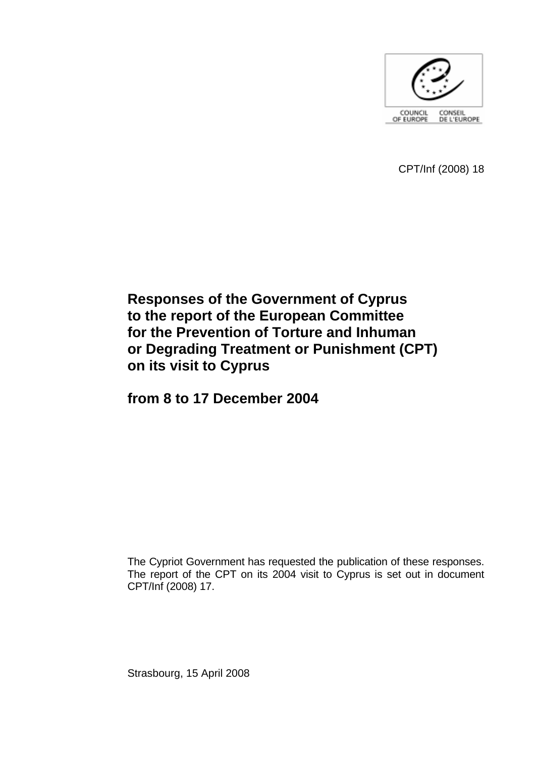

CPT/Inf (2008) 18

# **Responses of the Government of Cyprus to the report of the European Committee for the Prevention of Torture and Inhuman or Degrading Treatment or Punishment (CPT) on its visit to Cyprus**

**from 8 to 17 December 2004** 

The Cypriot Government has requested the publication of these responses. The report of the CPT on its 2004 visit to Cyprus is set out in document CPT/Inf (2008) 17.

Strasbourg, 15 April 2008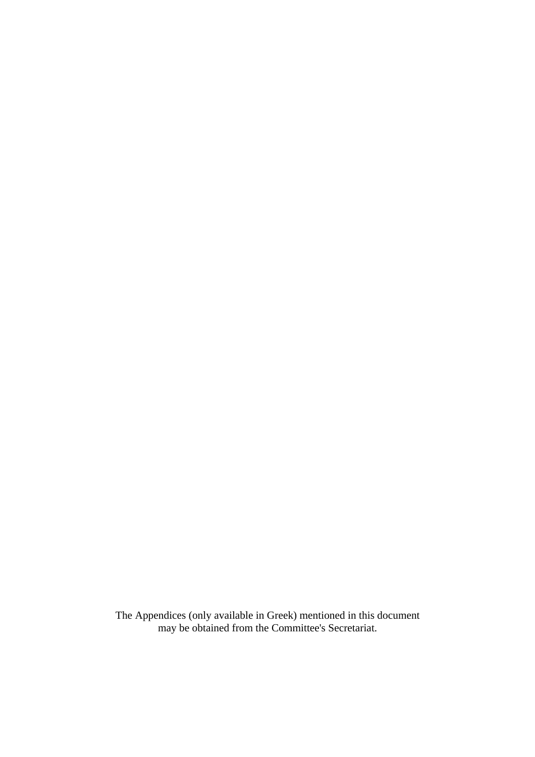The Appendices (only available in Greek) mentioned in this document may be obtained from the Committee's Secretariat.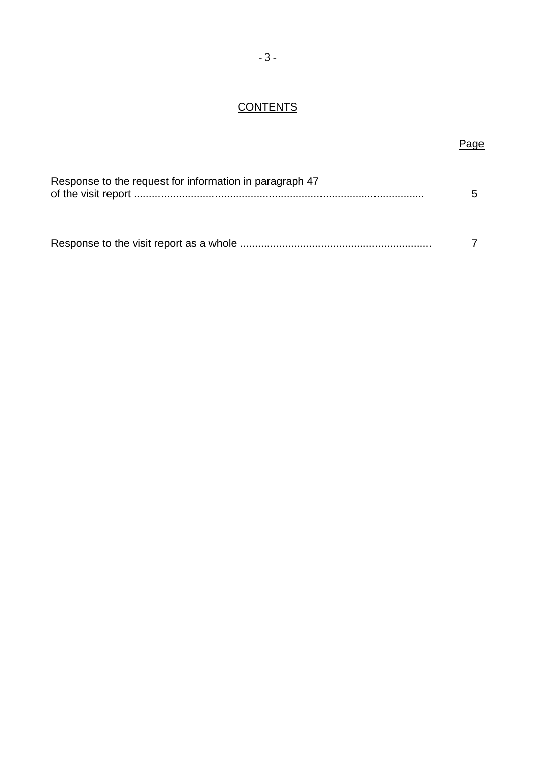# **CONTENTS**

# Page

| Response to the request for information in paragraph 47 |  |
|---------------------------------------------------------|--|
|                                                         |  |

|--|--|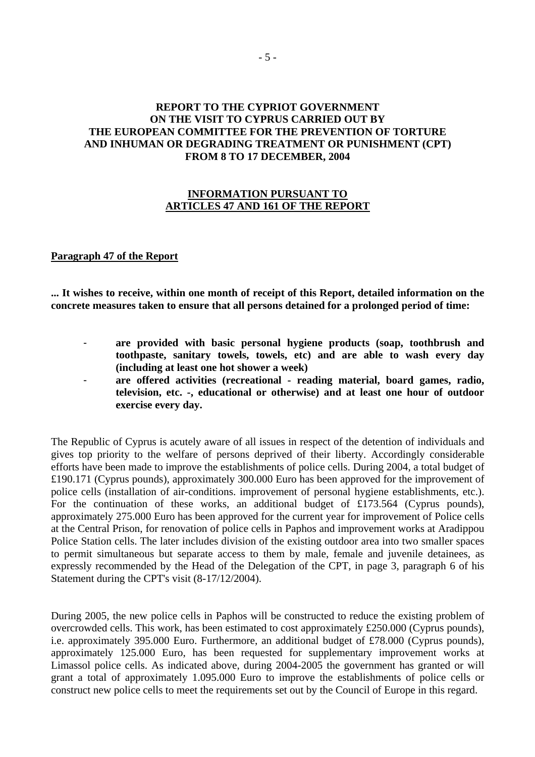# **REPORT TO THE CYPRIOT GOVERNMENT ON THE VISIT TO CYPRUS CARRIED OUT BY THE EUROPEAN COMMITTEE FOR THE PREVENTION OF TORTURE AND INHUMAN OR DEGRADING TREATMENT OR PUNISHMENT (CPT) FROM 8 TO 17 DECEMBER, 2004**

#### **INFORMATION PURSUANT TO ARTICLES 47 AND 161 OF THE REPORT**

#### **Paragraph 47 of the Report**

**... It wishes to receive, within one month of receipt of this Report, detailed information on the concrete measures taken to ensure that all persons detained for a prolonged period of time:** 

- are provided with basic personal hygiene products (soap, toothbrush and **toothpaste, sanitary towels, towels, etc) and are able to wash every day (including at least one hot shower a week)**
- **are offered activities (recreational reading material, board games, radio, television, etc. -, educational or otherwise) and at least one hour of outdoor exercise every day.**

The Republic of Cyprus is acutely aware of all issues in respect of the detention of individuals and gives top priority to the welfare of persons deprived of their liberty. Accordingly considerable efforts have been made to improve the establishments of police cells. During 2004, a total budget of £190.171 (Cyprus pounds), approximately 300.000 Euro has been approved for the improvement of police cells (installation of air-conditions. improvement of personal hygiene establishments, etc.). For the continuation of these works, an additional budget of £173.564 (Cyprus pounds), approximately 275.000 Euro has been approved for the current year for improvement of Police cells at the Central Prison, for renovation of police cells in Paphos and improvement works at Aradippou Police Station cells. The later includes division of the existing outdoor area into two smaller spaces to permit simultaneous but separate access to them by male, female and juvenile detainees, as expressly recommended by the Head of the Delegation of the CPT, in page 3, paragraph 6 of his Statement during the CPT's visit (8-17/12/2004).

During 2005, the new police cells in Paphos will be constructed to reduce the existing problem of overcrowded cells. This work, has been estimated to cost approximately £250.000 (Cyprus pounds), i.e. approximately 395.000 Euro. Furthermore, an additional budget of £78.000 (Cyprus pounds), approximately 125.000 Euro, has been requested for supplementary improvement works at Limassol police cells. As indicated above, during 2004-2005 the government has granted or will grant a total of approximately 1.095.000 Euro to improve the establishments of police cells or construct new police cells to meet the requirements set out by the Council of Europe in this regard.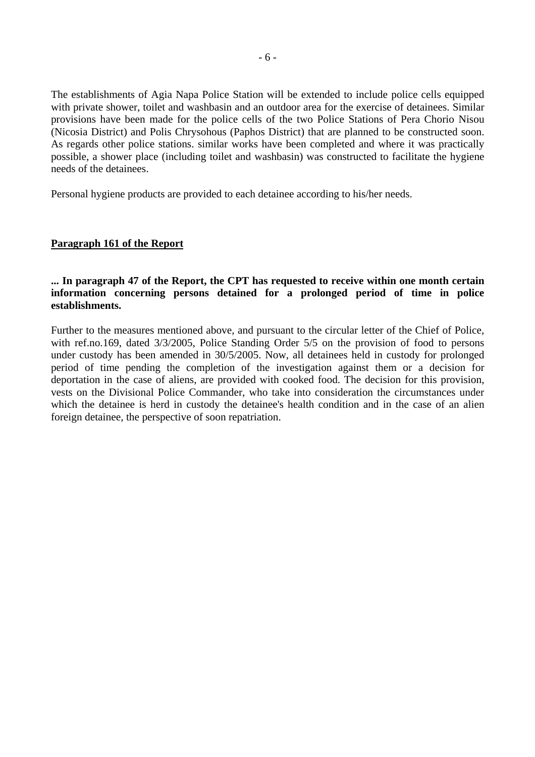The establishments of Agia Napa Police Station will be extended to include police cells equipped with private shower, toilet and washbasin and an outdoor area for the exercise of detainees. Similar provisions have been made for the police cells of the two Police Stations of Pera Chorio Nisou (Nicosia District) and Polis Chrysohous (Paphos District) that are planned to be constructed soon. As regards other police stations. similar works have been completed and where it was practically possible, a shower place (including toilet and washbasin) was constructed to facilitate the hygiene needs of the detainees.

Personal hygiene products are provided to each detainee according to his/her needs.

#### **Paragraph 161 of the Report**

## **... In paragraph 47 of the Report, the CPT has requested to receive within one month certain information concerning persons detained for a prolonged period of time in police establishments.**

Further to the measures mentioned above, and pursuant to the circular letter of the Chief of Police, with ref.no.169, dated 3/3/2005, Police Standing Order 5/5 on the provision of food to persons under custody has been amended in 30/5/2005. Now, all detainees held in custody for prolonged period of time pending the completion of the investigation against them or a decision for deportation in the case of aliens, are provided with cooked food. The decision for this provision, vests on the Divisional Police Commander, who take into consideration the circumstances under which the detainee is herd in custody the detainee's health condition and in the case of an alien foreign detainee, the perspective of soon repatriation.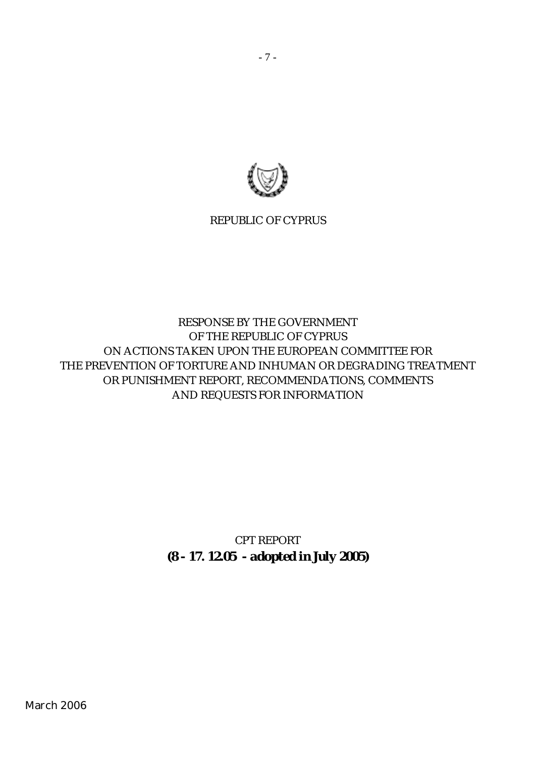

REPUBLIC OF CYPRUS

# RESPONSE BY THE GOVERNMENT OF THE REPUBLIC OF CYPRUS ON ACTIONS TAKEN UPON THE EUROPEAN COMMITTEE FOR THE PREVENTION OF TORTURE AND INHUMAN OR DEGRADING TREATMENT OR PUNISHMENT REPORT, RECOMMENDATIONS, COMMENTS AND REQUESTS FOR INFORMATION

*CPT REPORT (8 - 17. 12.05 - adopted in July 2005)*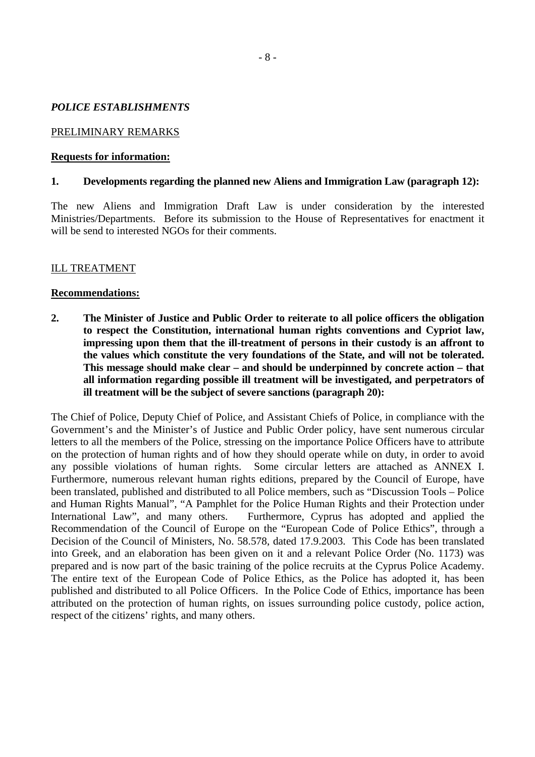#### *POLICE ESTABLISHMENTS*

#### PRELIMINARY REMARKS

#### **Requests for information:**

#### **1. Developments regarding the planned new Aliens and Immigration Law (paragraph 12):**

The new Aliens and Immigration Draft Law is under consideration by the interested Ministries/Departments. Before its submission to the House of Representatives for enactment it will be send to interested NGOs for their comments.

#### ILL TREATMENT

#### **Recommendations:**

**2. The Minister of Justice and Public Order to reiterate to all police officers the obligation to respect the Constitution, international human rights conventions and Cypriot law, impressing upon them that the ill-treatment of persons in their custody is an affront to the values which constitute the very foundations of the State, and will not be tolerated. This message should make clear – and should be underpinned by concrete action – that all information regarding possible ill treatment will be investigated, and perpetrators of ill treatment will be the subject of severe sanctions (paragraph 20):** 

The Chief of Police, Deputy Chief of Police, and Assistant Chiefs of Police, in compliance with the Government's and the Minister's of Justice and Public Order policy, have sent numerous circular letters to all the members of the Police, stressing on the importance Police Officers have to attribute on the protection of human rights and of how they should operate while on duty, in order to avoid any possible violations of human rights. Some circular letters are attached as ANNEX I. Furthermore, numerous relevant human rights editions, prepared by the Council of Europe, have been translated, published and distributed to all Police members, such as "Discussion Tools – Police and Human Rights Manual", "A Pamphlet for the Police Human Rights and their Protection under International Law", and many others. Furthermore, Cyprus has adopted and applied the Recommendation of the Council of Europe on the "European Code of Police Ethics", through a Decision of the Council of Ministers, No. 58.578, dated 17.9.2003. This Code has been translated into Greek, and an elaboration has been given on it and a relevant Police Order (No. 1173) was prepared and is now part of the basic training of the police recruits at the Cyprus Police Academy. The entire text of the European Code of Police Ethics, as the Police has adopted it, has been published and distributed to all Police Officers. In the Police Code of Ethics, importance has been attributed on the protection of human rights, on issues surrounding police custody, police action, respect of the citizens' rights, and many others.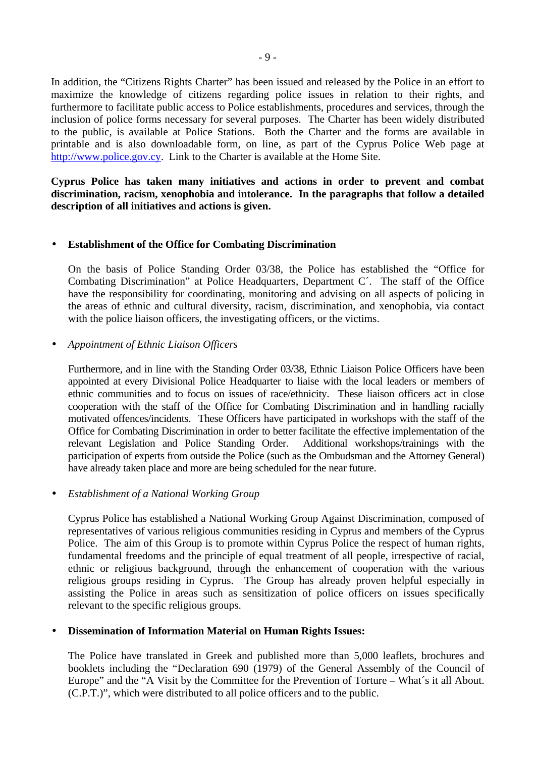In addition, the "Citizens Rights Charter" has been issued and released by the Police in an effort to maximize the knowledge of citizens regarding police issues in relation to their rights, and furthermore to facilitate public access to Police establishments, procedures and services, through the inclusion of police forms necessary for several purposes. The Charter has been widely distributed to the public, is available at Police Stations. Both the Charter and the forms are available in printable and is also downloadable form, on line, as part of the Cyprus Police Web page at [http://www.police.gov.cy.](http://www.police.gov.cy/) Link to the Charter is available at the Home Site.

**Cyprus Police has taken many initiatives and actions in order to prevent and combat discrimination, racism, xenophobia and intolerance. In the paragraphs that follow a detailed description of all initiatives and actions is given.** 

#### • **Establishment of the Office for Combating Discrimination**

On the basis of Police Standing Order 03/38, the Police has established the "Office for Combating Discrimination" at Police Headquarters, Department C´. The staff of the Office have the responsibility for coordinating, monitoring and advising on all aspects of policing in the areas of ethnic and cultural diversity, racism, discrimination, and xenophobia, via contact with the police liaison officers, the investigating officers, or the victims.

## • *Appointment of Ethnic Liaison Officers*

Furthermore, and in line with the Standing Order 03/38, Ethnic Liaison Police Officers have been appointed at every Divisional Police Headquarter to liaise with the local leaders or members of ethnic communities and to focus on issues of race/ethnicity. These liaison officers act in close cooperation with the staff of the Office for Combating Discrimination and in handling racially motivated offences/incidents. These Officers have participated in workshops with the staff of the Office for Combating Discrimination in order to better facilitate the effective implementation of the relevant Legislation and Police Standing Order. Additional workshops/trainings with the participation of experts from outside the Police (such as the Ombudsman and the Attorney General) have already taken place and more are being scheduled for the near future.

#### • *Establishment of a National Working Group*

Cyprus Police has established a National Working Group Against Discrimination, composed of representatives of various religious communities residing in Cyprus and members of the Cyprus Police. The aim of this Group is to promote within Cyprus Police the respect of human rights, fundamental freedoms and the principle of equal treatment of all people, irrespective of racial, ethnic or religious background, through the enhancement of cooperation with the various religious groups residing in Cyprus. The Group has already proven helpful especially in assisting the Police in areas such as sensitization of police officers on issues specifically relevant to the specific religious groups.

#### • **Dissemination of Information Material on Human Rights Issues:**

The Police have translated in Greek and published more than 5,000 leaflets, brochures and booklets including the "Declaration 690 (1979) of the General Assembly of the Council of Europe" and the "A Visit by the Committee for the Prevention of Torture – What´s it all About. (C.P.T.)", which were distributed to all police officers and to the public.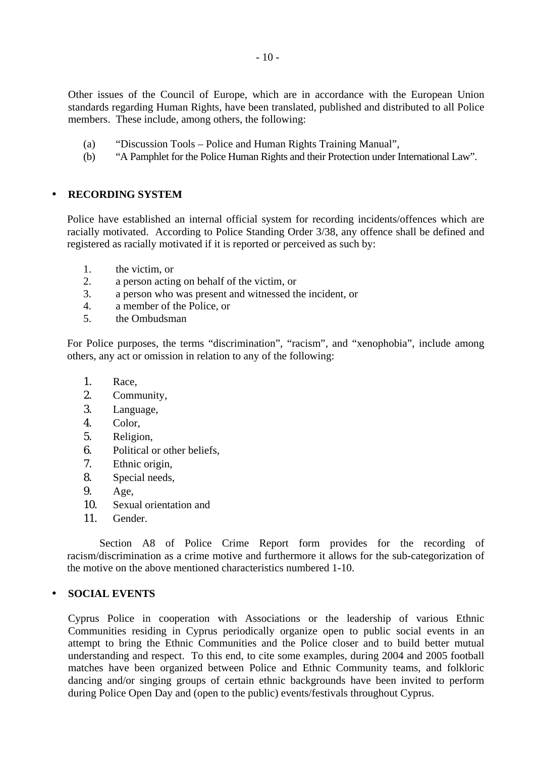Other issues of the Council of Europe, which are in accordance with the European Union standards regarding Human Rights, have been translated, published and distributed to all Police members. These include, among others, the following:

- (a) "Discussion Tools Police and Human Rights Training Manual",
- (b) "A Pamphlet for the Police Human Rights and their Protection under International Law".

#### • **RECORDING SYSTEM**

Police have established an internal official system for recording incidents/offences which are racially motivated. According to Police Standing Order 3/38, any offence shall be defined and registered as racially motivated if it is reported or perceived as such by:

- 1. the victim, or
- 2. a person acting on behalf of the victim, or
- 3. a person who was present and witnessed the incident, or
- 4. a member of the Police, or
- 5. the Ombudsman

For Police purposes, the terms "discrimination", "racism", and "xenophobia", include among others, any act or omission in relation to any of the following:

- 1. Race,
- 2. Community,
- 3. Language,
- 4. Color,
- 5. Religion,
- 6. Political or other beliefs,
- 7. Ethnic origin,
- 8. Special needs,
- 9. Age,
- 10. Sexual orientation and
- 11. Gender.

Section A8 of Police Crime Report form provides for the recording of racism/discrimination as a crime motive and furthermore it allows for the sub-categorization of the motive on the above mentioned characteristics numbered 1-10.

# • **SOCIAL EVENTS**

Cyprus Police in cooperation with Associations or the leadership of various Ethnic Communities residing in Cyprus periodically organize open to public social events in an attempt to bring the Ethnic Communities and the Police closer and to build better mutual understanding and respect. To this end, to cite some examples, during 2004 and 2005 football matches have been organized between Police and Ethnic Community teams, and folkloric dancing and/or singing groups of certain ethnic backgrounds have been invited to perform during Police Open Day and (open to the public) events/festivals throughout Cyprus.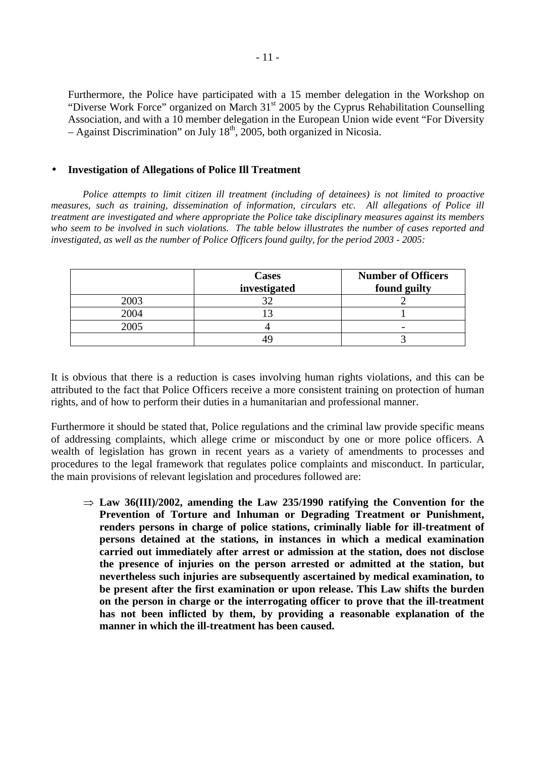Furthermore, the Police have participated with a 15 member delegation in the Workshop on "Diverse Work Force" organized on March 31<sup>st</sup> 2005 by the Cyprus Rehabilitation Counselling Association, and with a 10 member delegation in the European Union wide event "For Diversity  $-$  Against Discrimination" on July 18<sup>th</sup>, 2005, both organized in Nicosia.

#### • **Investigation of Allegations of Police Ill Treatment**

*Police attempts to limit citizen ill treatment (including of detainees) is not limited to proactive measures, such as training, dissemination of information, circulars etc. All allegations of Police ill treatment are investigated and where appropriate the Police take disciplinary measures against its members who seem to be involved in such violations. The table below illustrates the number of cases reported and investigated, as well as the number of Police Officers found guilty, for the period 2003 - 2005:* 

|      | <b>Cases</b> | <b>Number of Officers</b> |
|------|--------------|---------------------------|
|      | investigated | found guilty              |
| 2003 |              |                           |
| 2004 |              |                           |
| 2005 |              | $\overline{\phantom{0}}$  |
|      |              |                           |

It is obvious that there is a reduction is cases involving human rights violations, and this can be attributed to the fact that Police Officers receive a more consistent training on protection of human rights, and of how to perform their duties in a humanitarian and professional manner.

Furthermore it should be stated that, Police regulations and the criminal law provide specific means of addressing complaints, which allege crime or misconduct by one or more police officers. A wealth of legislation has grown in recent years as a variety of amendments to processes and procedures to the legal framework that regulates police complaints and misconduct. In particular, the main provisions of relevant legislation and procedures followed are:

 $\Rightarrow$  Law 36(III)/2002, amending the Law 235/1990 ratifying the Convention for the **Prevention of Torture and Inhuman or Degrading Treatment or Punishment, renders persons in charge of police stations, criminally liable for ill-treatment of persons detained at the stations, in instances in which a medical examination carried out immediately after arrest or admission at the station, does not disclose the presence of injuries on the person arrested or admitted at the station, but nevertheless such injuries are subsequently ascertained by medical examination, to be present after the first examination or upon release. This Law shifts the burden on the person in charge or the interrogating officer to prove that the ill-treatment has not been inflicted by them, by providing a reasonable explanation of the manner in which the ill-treatment has been caused.**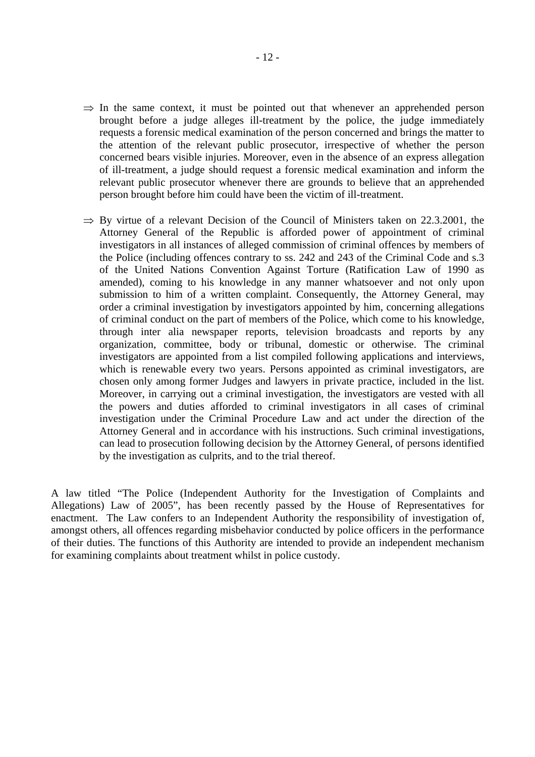- $\Rightarrow$  In the same context, it must be pointed out that whenever an apprehended person brought before a judge alleges ill-treatment by the police, the judge immediately requests a forensic medical examination of the person concerned and brings the matter to the attention of the relevant public prosecutor, irrespective of whether the person concerned bears visible injuries. Moreover, even in the absence of an express allegation of ill-treatment, a judge should request a forensic medical examination and inform the relevant public prosecutor whenever there are grounds to believe that an apprehended person brought before him could have been the victim of ill-treatment.
- $\Rightarrow$  By virtue of a relevant Decision of the Council of Ministers taken on 22.3.2001, the Attorney General of the Republic is afforded power of appointment of criminal investigators in all instances of alleged commission of criminal offences by members of the Police (including offences contrary to ss. 242 and 243 of the Criminal Code and s.3 of the United Nations Convention Against Torture (Ratification Law of 1990 as amended), coming to his knowledge in any manner whatsoever and not only upon submission to him of a written complaint. Consequently, the Attorney General, may order a criminal investigation by investigators appointed by him, concerning allegations of criminal conduct on the part of members of the Police, which come to his knowledge, through inter alia newspaper reports, television broadcasts and reports by any organization, committee, body or tribunal, domestic or otherwise. The criminal investigators are appointed from a list compiled following applications and interviews, which is renewable every two years. Persons appointed as criminal investigators, are chosen only among former Judges and lawyers in private practice, included in the list. Moreover, in carrying out a criminal investigation, the investigators are vested with all the powers and duties afforded to criminal investigators in all cases of criminal investigation under the Criminal Procedure Law and act under the direction of the Attorney General and in accordance with his instructions. Such criminal investigations, can lead to prosecution following decision by the Attorney General, of persons identified by the investigation as culprits, and to the trial thereof.

A law titled "The Police (Independent Authority for the Investigation of Complaints and Allegations) Law of 2005", has been recently passed by the House of Representatives for enactment. The Law confers to an Independent Authority the responsibility of investigation of, amongst others, all offences regarding misbehavior conducted by police officers in the performance of their duties. The functions of this Authority are intended to provide an independent mechanism for examining complaints about treatment whilst in police custody.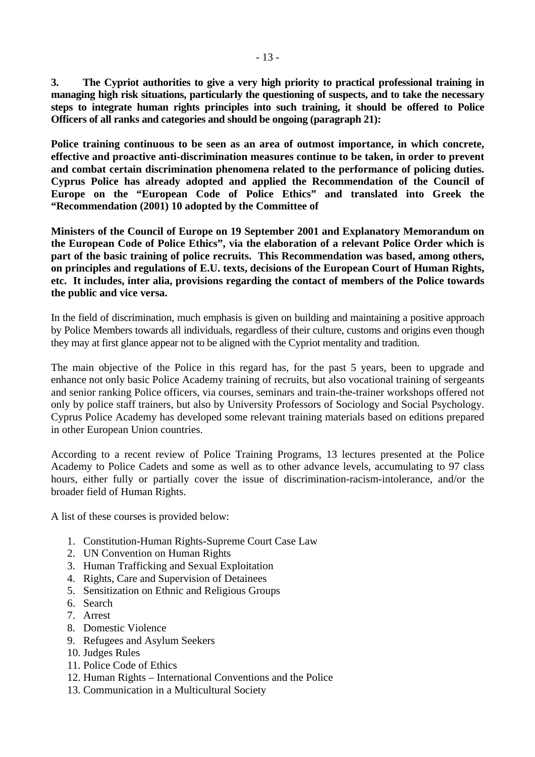**3. The Cypriot authorities to give a very high priority to practical professional training in managing high risk situations, particularly the questioning of suspects, and to take the necessary steps to integrate human rights principles into such training, it should be offered to Police Officers of all ranks and categories and should be ongoing (paragraph 21):** 

**Police training continuous to be seen as an area of outmost importance, in which concrete, effective and proactive anti-discrimination measures continue to be taken, in order to prevent and combat certain discrimination phenomena related to the performance of policing duties. Cyprus Police has already adopted and applied the Recommendation of the Council of Europe on the "European Code of Police Ethics" and translated into Greek the "Recommendation (2001) 10 adopted by the Committee of** 

**Ministers of the Council of Europe on 19 September 2001 and Explanatory Memorandum on the European Code of Police Ethics", via the elaboration of a relevant Police Order which is part of the basic training of police recruits. This Recommendation was based, among others, on principles and regulations of E.U. texts, decisions of the European Court of Human Rights, etc. It includes, inter alia, provisions regarding the contact of members of the Police towards the public and vice versa.** 

In the field of discrimination, much emphasis is given on building and maintaining a positive approach by Police Members towards all individuals, regardless of their culture, customs and origins even though they may at first glance appear not to be aligned with the Cypriot mentality and tradition.

The main objective of the Police in this regard has, for the past 5 years, been to upgrade and enhance not only basic Police Academy training of recruits, but also vocational training of sergeants and senior ranking Police officers, via courses, seminars and train-the-trainer workshops offered not only by police staff trainers, but also by University Professors of Sociology and Social Psychology. Cyprus Police Academy has developed some relevant training materials based on editions prepared in other European Union countries.

According to a recent review of Police Training Programs, 13 lectures presented at the Police Academy to Police Cadets and some as well as to other advance levels, accumulating to 97 class hours, either fully or partially cover the issue of discrimination-racism-intolerance, and/or the broader field of Human Rights.

A list of these courses is provided below:

- 1. Constitution-Human Rights-Supreme Court Case Law
- 2. UN Convention on Human Rights
- 3. Human Trafficking and Sexual Exploitation
- 4. Rights, Care and Supervision of Detainees
- 5. Sensitization on Ethnic and Religious Groups
- 6. Search
- 7. Arrest
- 8. Domestic Violence
- 9. Refugees and Asylum Seekers
- 10. Judges Rules
- 11. Police Code of Ethics
- 12. Human Rights International Conventions and the Police
- 13. Communication in a Multicultural Society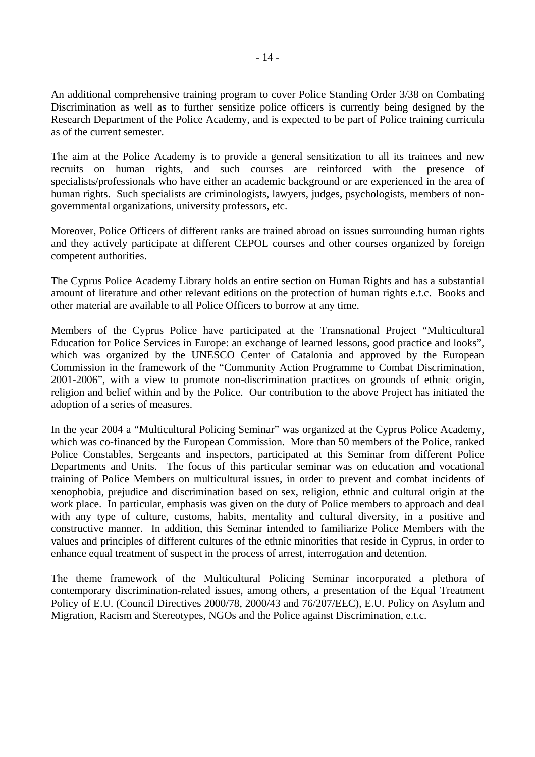An additional comprehensive training program to cover Police Standing Order 3/38 on Combating Discrimination as well as to further sensitize police officers is currently being designed by the Research Department of the Police Academy, and is expected to be part of Police training curricula as of the current semester.

The aim at the Police Academy is to provide a general sensitization to all its trainees and new recruits on human rights, and such courses are reinforced with the presence of specialists/professionals who have either an academic background or are experienced in the area of human rights. Such specialists are criminologists, lawyers, judges, psychologists, members of nongovernmental organizations, university professors, etc.

Moreover, Police Officers of different ranks are trained abroad on issues surrounding human rights and they actively participate at different CEPOL courses and other courses organized by foreign competent authorities.

The Cyprus Police Academy Library holds an entire section on Human Rights and has a substantial amount of literature and other relevant editions on the protection of human rights e.t.c. Books and other material are available to all Police Officers to borrow at any time.

Members of the Cyprus Police have participated at the Transnational Project "Multicultural Education for Police Services in Europe: an exchange of learned lessons, good practice and looks", which was organized by the UNESCO Center of Catalonia and approved by the European Commission in the framework of the "Community Action Programme to Combat Discrimination, 2001-2006", with a view to promote non-discrimination practices on grounds of ethnic origin, religion and belief within and by the Police. Our contribution to the above Project has initiated the adoption of a series of measures.

In the year 2004 a "Multicultural Policing Seminar" was organized at the Cyprus Police Academy, which was co-financed by the European Commission. More than 50 members of the Police, ranked Police Constables, Sergeants and inspectors, participated at this Seminar from different Police Departments and Units. The focus of this particular seminar was on education and vocational training of Police Members on multicultural issues, in order to prevent and combat incidents of xenophobia, prejudice and discrimination based on sex, religion, ethnic and cultural origin at the work place. In particular, emphasis was given on the duty of Police members to approach and deal with any type of culture, customs, habits, mentality and cultural diversity, in a positive and constructive manner. In addition, this Seminar intended to familiarize Police Members with the values and principles of different cultures of the ethnic minorities that reside in Cyprus, in order to enhance equal treatment of suspect in the process of arrest, interrogation and detention.

The theme framework of the Multicultural Policing Seminar incorporated a plethora of contemporary discrimination-related issues, among others, a presentation of the Equal Treatment Policy of E.U. (Council Directives 2000/78, 2000/43 and 76/207/EEC), E.U. Policy on Asylum and Migration, Racism and Stereotypes, NGOs and the Police against Discrimination, e.t.c.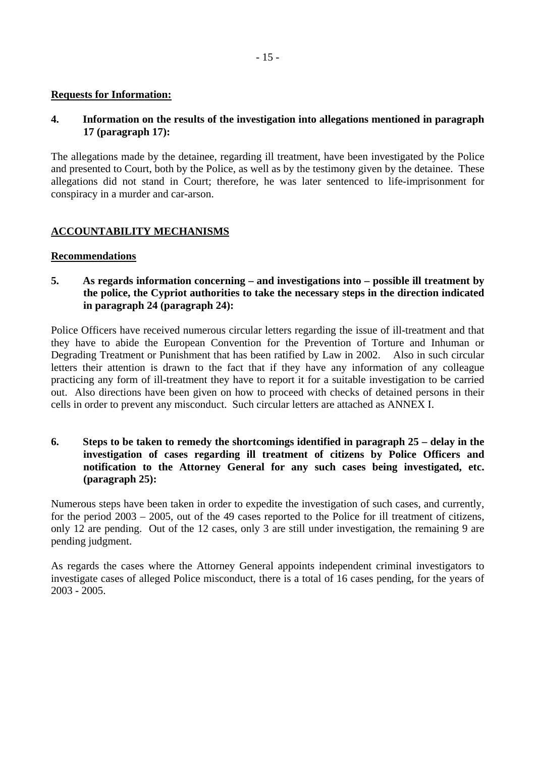#### **Requests for Information:**

## **4. Information on the results of the investigation into allegations mentioned in paragraph 17 (paragraph 17):**

The allegations made by the detainee, regarding ill treatment, have been investigated by the Police and presented to Court, both by the Police, as well as by the testimony given by the detainee. These allegations did not stand in Court; therefore, he was later sentenced to life-imprisonment for conspiracy in a murder and car-arson.

# **ACCOUNTABILITY MECHANISMS**

#### **Recommendations**

## **5. As regards information concerning – and investigations into – possible ill treatment by the police, the Cypriot authorities to take the necessary steps in the direction indicated in paragraph 24 (paragraph 24):**

Police Officers have received numerous circular letters regarding the issue of ill-treatment and that they have to abide the European Convention for the Prevention of Torture and Inhuman or Degrading Treatment or Punishment that has been ratified by Law in 2002. Also in such circular letters their attention is drawn to the fact that if they have any information of any colleague practicing any form of ill-treatment they have to report it for a suitable investigation to be carried out. Also directions have been given on how to proceed with checks of detained persons in their cells in order to prevent any misconduct. Such circular letters are attached as ANNEX I.

## **6. Steps to be taken to remedy the shortcomings identified in paragraph 25 – delay in the investigation of cases regarding ill treatment of citizens by Police Officers and notification to the Attorney General for any such cases being investigated, etc. (paragraph 25):**

Numerous steps have been taken in order to expedite the investigation of such cases, and currently, for the period 2003 – 2005, out of the 49 cases reported to the Police for ill treatment of citizens, only 12 are pending. Out of the 12 cases, only 3 are still under investigation, the remaining 9 are pending judgment.

As regards the cases where the Attorney General appoints independent criminal investigators to investigate cases of alleged Police misconduct, there is a total of 16 cases pending, for the years of 2003 - 2005.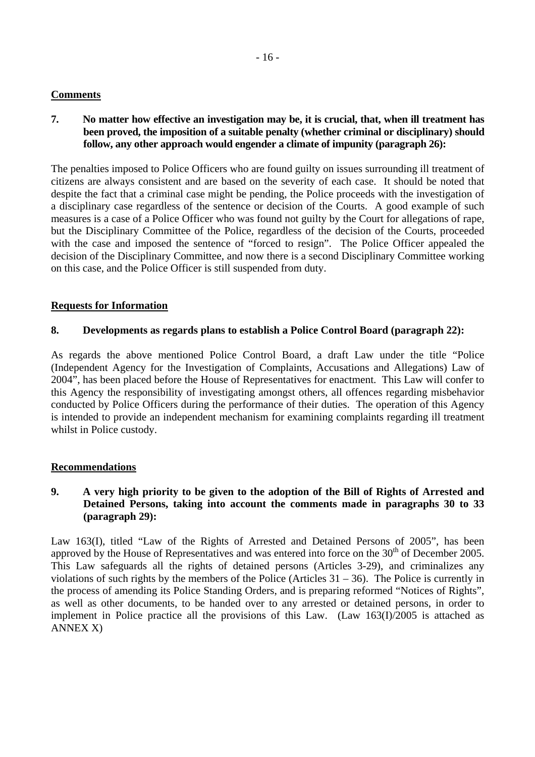## **Comments**

**7. No matter how effective an investigation may be, it is crucial, that, when ill treatment has been proved, the imposition of a suitable penalty (whether criminal or disciplinary) should follow, any other approach would engender a climate of impunity (paragraph 26):** 

The penalties imposed to Police Officers who are found guilty on issues surrounding ill treatment of citizens are always consistent and are based on the severity of each case. It should be noted that despite the fact that a criminal case might be pending, the Police proceeds with the investigation of a disciplinary case regardless of the sentence or decision of the Courts. A good example of such measures is a case of a Police Officer who was found not guilty by the Court for allegations of rape, but the Disciplinary Committee of the Police, regardless of the decision of the Courts, proceeded with the case and imposed the sentence of "forced to resign". The Police Officer appealed the decision of the Disciplinary Committee, and now there is a second Disciplinary Committee working on this case, and the Police Officer is still suspended from duty.

## **Requests for Information**

## **8. Developments as regards plans to establish a Police Control Board (paragraph 22):**

As regards the above mentioned Police Control Board, a draft Law under the title "Police (Independent Agency for the Investigation of Complaints, Accusations and Allegations) Law of 2004", has been placed before the House of Representatives for enactment. This Law will confer to this Agency the responsibility of investigating amongst others, all offences regarding misbehavior conducted by Police Officers during the performance of their duties. The operation of this Agency is intended to provide an independent mechanism for examining complaints regarding ill treatment whilst in Police custody.

#### **Recommendations**

## **9. A very high priority to be given to the adoption of the Bill of Rights of Arrested and Detained Persons, taking into account the comments made in paragraphs 30 to 33 (paragraph 29):**

Law 163(I), titled "Law of the Rights of Arrested and Detained Persons of 2005", has been approved by the House of Representatives and was entered into force on the  $30<sup>th</sup>$  of December 2005. This Law safeguards all the rights of detained persons (Articles 3-29), and criminalizes any violations of such rights by the members of the Police (Articles 31 – 36). The Police is currently in the process of amending its Police Standing Orders, and is preparing reformed "Notices of Rights", as well as other documents, to be handed over to any arrested or detained persons, in order to implement in Police practice all the provisions of this Law. (Law 163(I)/2005 is attached as ANNEX X)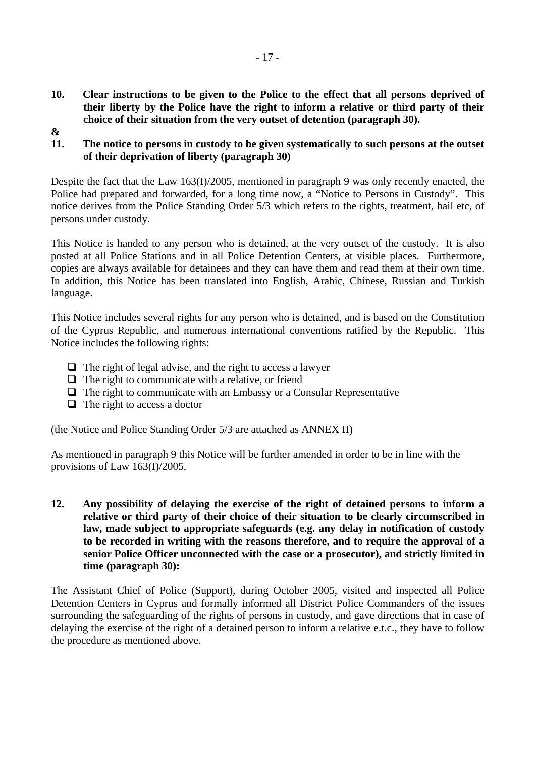- **10. Clear instructions to be given to the Police to the effect that all persons deprived of their liberty by the Police have the right to inform a relative or third party of their choice of their situation from the very outset of detention (paragraph 30).**
- **&**
- **11. The notice to persons in custody to be given systematically to such persons at the outset of their deprivation of liberty (paragraph 30)**

Despite the fact that the Law 163(I)/2005, mentioned in paragraph 9 was only recently enacted, the Police had prepared and forwarded, for a long time now, a "Notice to Persons in Custody". This notice derives from the Police Standing Order 5/3 which refers to the rights, treatment, bail etc, of persons under custody.

This Notice is handed to any person who is detained, at the very outset of the custody. It is also posted at all Police Stations and in all Police Detention Centers, at visible places. Furthermore, copies are always available for detainees and they can have them and read them at their own time. In addition, this Notice has been translated into English, Arabic, Chinese, Russian and Turkish language.

This Notice includes several rights for any person who is detained, and is based on the Constitution of the Cyprus Republic, and numerous international conventions ratified by the Republic. This Notice includes the following rights:

- $\Box$  The right of legal advise, and the right to access a lawyer
- $\Box$  The right to communicate with a relative, or friend
- $\Box$  The right to communicate with an Embassy or a Consular Representative
- $\Box$  The right to access a doctor

(the Notice and Police Standing Order 5/3 are attached as ANNEX II)

As mentioned in paragraph 9 this Notice will be further amended in order to be in line with the provisions of Law 163(I)/2005.

**12. Any possibility of delaying the exercise of the right of detained persons to inform a relative or third party of their choice of their situation to be clearly circumscribed in law, made subject to appropriate safeguards (e.g. any delay in notification of custody to be recorded in writing with the reasons therefore, and to require the approval of a senior Police Officer unconnected with the case or a prosecutor), and strictly limited in time (paragraph 30):** 

The Assistant Chief of Police (Support), during October 2005, visited and inspected all Police Detention Centers in Cyprus and formally informed all District Police Commanders of the issues surrounding the safeguarding of the rights of persons in custody, and gave directions that in case of delaying the exercise of the right of a detained person to inform a relative e.t.c., they have to follow the procedure as mentioned above.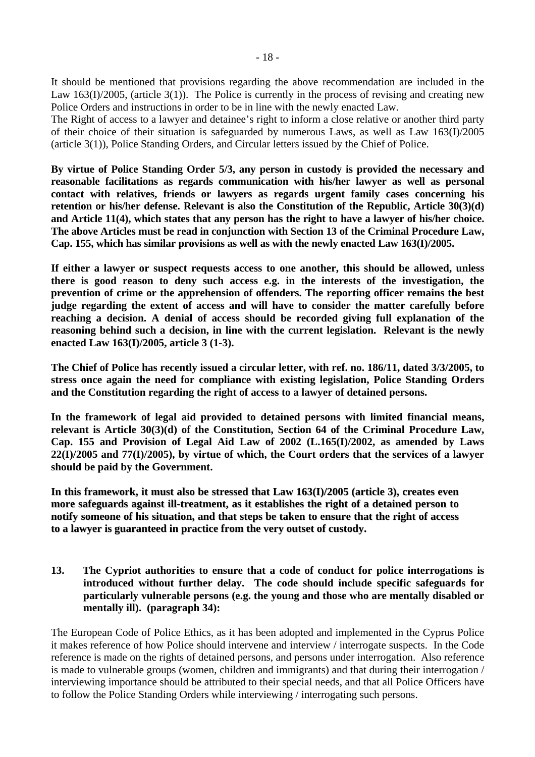It should be mentioned that provisions regarding the above recommendation are included in the Law 163(I)/2005, (article 3(1)). The Police is currently in the process of revising and creating new Police Orders and instructions in order to be in line with the newly enacted Law.

The Right of access to a lawyer and detainee's right to inform a close relative or another third party of their choice of their situation is safeguarded by numerous Laws, as well as Law 163(I)/2005 (article 3(1)), Police Standing Orders, and Circular letters issued by the Chief of Police.

**By virtue of Police Standing Order 5/3, any person in custody is provided the necessary and reasonable facilitations as regards communication with his/her lawyer as well as personal contact with relatives, friends or lawyers as regards urgent family cases concerning his retention or his/her defense. Relevant is also the Constitution of the Republic, Article 30(3)(d) and Article 11(4), which states that any person has the right to have a lawyer of his/her choice. The above Articles must be read in conjunction with Section 13 of the Criminal Procedure Law, Cap. 155, which has similar provisions as well as with the newly enacted Law 163(I)/2005.** 

**If either a lawyer or suspect requests access to one another, this should be allowed, unless there is good reason to deny such access e.g. in the interests of the investigation, the prevention of crime or the apprehension of offenders. The reporting officer remains the best judge regarding the extent of access and will have to consider the matter carefully before reaching a decision. A denial of access should be recorded giving full explanation of the reasoning behind such a decision, in line with the current legislation. Relevant is the newly enacted Law 163(I)/2005, article 3 (1-3).** 

**The Chief of Police has recently issued a circular letter, with ref. no. 186/11, dated 3/3/2005, to stress once again the need for compliance with existing legislation, Police Standing Orders and the Constitution regarding the right of access to a lawyer of detained persons.** 

**In the framework of legal aid provided to detained persons with limited financial means, relevant is Article 30(3)(d) of the Constitution, Section 64 of the Criminal Procedure Law, Cap. 155 and Provision of Legal Aid Law of 2002 (L.165(I)/2002, as amended by Laws 22(I)/2005 and 77(I)/2005), by virtue of which, the Court orders that the services of a lawyer should be paid by the Government.** 

**In this framework, it must also be stressed that Law 163(I)/2005 (article 3), creates even more safeguards against ill-treatment, as it establishes the right of a detained person to notify someone of his situation, and that steps betaken to ensure that the right of access to a lawyer is guaranteed in practice from the very outset of custody.**

**13. The Cypriot authorities to ensure that a code of conduct for police interrogations is introduced without further delay. The code should include specific safeguards for particularly vulnerable persons (e.g. the young and those who are mentally disabled or mentally ill). (paragraph 34):** 

The European Code of Police Ethics, as it has been adopted and implemented in the Cyprus Police it makes reference of how Police should intervene and interview / interrogate suspects. In the Code reference is made on the rights of detained persons, and persons under interrogation. Also reference is made to vulnerable groups (women, children and immigrants) and that during their interrogation / interviewing importance should be attributed to their special needs, and that all Police Officers have to follow the Police Standing Orders while interviewing / interrogating such persons.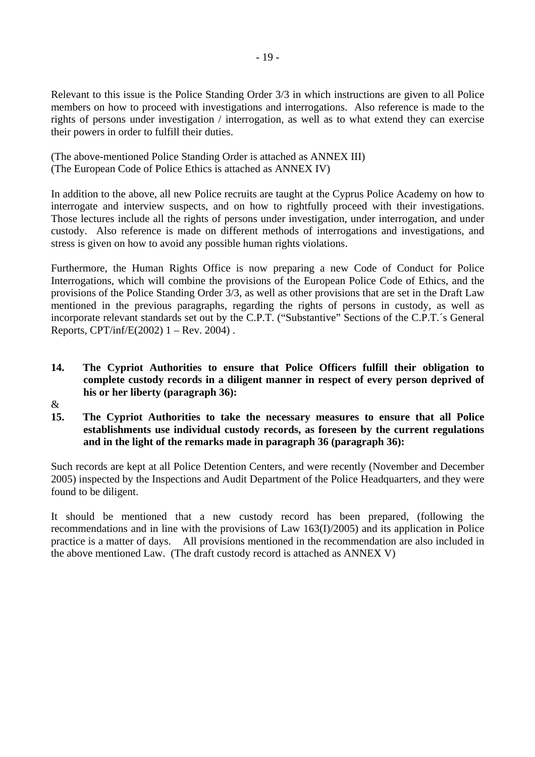Relevant to this issue is the Police Standing Order 3/3 in which instructions are given to all Police members on how to proceed with investigations and interrogations. Also reference is made to the rights of persons under investigation / interrogation, as well as to what extend they can exercise their powers in order to fulfill their duties.

(The above-mentioned Police Standing Order is attached as ANNEX III) (The European Code of Police Ethics is attached as ANNEX IV)

In addition to the above, all new Police recruits are taught at the Cyprus Police Academy on how to interrogate and interview suspects, and on how to rightfully proceed with their investigations. Those lectures include all the rights of persons under investigation, under interrogation, and under custody. Also reference is made on different methods of interrogations and investigations, and stress is given on how to avoid any possible human rights violations.

Furthermore, the Human Rights Office is now preparing a new Code of Conduct for Police Interrogations, which will combine the provisions of the European Police Code of Ethics, and the provisions of the Police Standing Order 3/3, as well as other provisions that are set in the Draft Law mentioned in the previous paragraphs, regarding the rights of persons in custody, as well as incorporate relevant standards set out by the C.P.T. ("Substantive" Sections of the C.P.T.´s General Reports,  $CPT/inf/E(2002)$  1 – Rev. 2004).

# **14. The Cypriot Authorities to ensure that Police Officers fulfill their obligation to complete custody records in a diligent manner in respect of every person deprived of his or her liberty (paragraph 36):**

- &
- **15. The Cypriot Authorities to take the necessary measures to ensure that all Police establishments use individual custody records, as foreseen by the current regulations and in the light of the remarks made in paragraph 36 (paragraph 36):**

Such records are kept at all Police Detention Centers, and were recently (November and December 2005) inspected by the Inspections and Audit Department of the Police Headquarters, and they were found to be diligent.

It should be mentioned that a new custody record has been prepared, (following the recommendations and in line with the provisions of Law 163(I)/2005) and its application in Police practice is a matter of days. All provisions mentioned in the recommendation are also included in the above mentioned Law. (The draft custody record is attached as ANNEX V)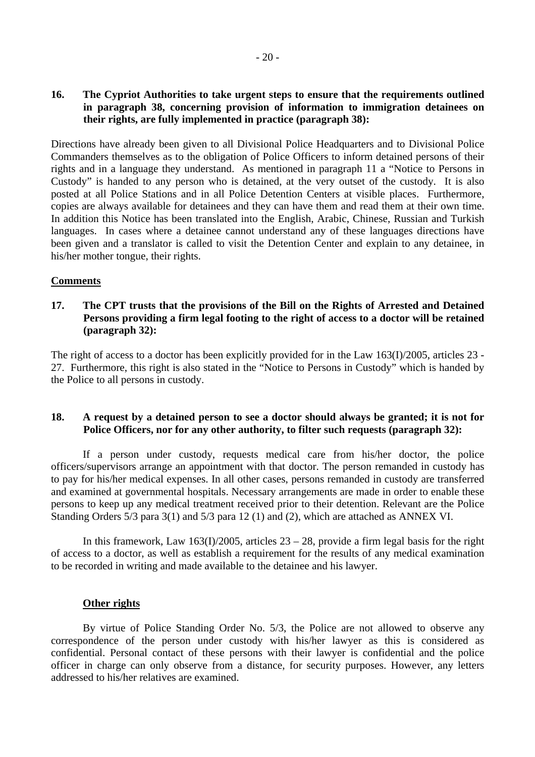#### **16. The Cypriot Authorities to take urgent steps to ensure that the requirements outlined in paragraph 38, concerning provision of information to immigration detainees on their rights, are fully implemented in practice (paragraph 38):**

Directions have already been given to all Divisional Police Headquarters and to Divisional Police Commanders themselves as to the obligation of Police Officers to inform detained persons of their rights and in a language they understand. As mentioned in paragraph 11 a "Notice to Persons in Custody" is handed to any person who is detained, at the very outset of the custody. It is also posted at all Police Stations and in all Police Detention Centers at visible places. Furthermore, copies are always available for detainees and they can have them and read them at their own time. In addition this Notice has been translated into the English, Arabic, Chinese, Russian and Turkish languages. In cases where a detainee cannot understand any of these languages directions have been given and a translator is called to visit the Detention Center and explain to any detainee, in his/her mother tongue, their rights.

## **Comments**

#### **17. The CPT trusts that the provisions of the Bill on the Rights of Arrested and Detained Persons providing a firm legal footing to the right of access to a doctor will be retained (paragraph 32):**

The right of access to a doctor has been explicitly provided for in the Law 163(I)/2005, articles 23 - 27. Furthermore, this right is also stated in the "Notice to Persons in Custody" which is handed by the Police to all persons in custody.

# **18. A request by a detained person to see a doctor should always be granted; it is not for Police Officers, nor for any other authority, to filter such requests (paragraph 32):**

If a person under custody, requests medical care from his/her doctor, the police officers/supervisors arrange an appointment with that doctor. The person remanded in custody has to pay for his/her medical expenses. In all other cases, persons remanded in custody are transferred and examined at governmental hospitals. Necessary arrangements are made in order to enable these persons to keep up any medical treatment received prior to their detention. Relevant are the Police Standing Orders 5/3 para 3(1) and 5/3 para 12 (1) and (2), which are attached as ANNEX VI.

In this framework, Law  $163(I)/2005$ , articles  $23 - 28$ , provide a firm legal basis for the right of access to a doctor, as well as establish a requirement for the results of any medical examination to be recorded in writing and made available to the detainee and his lawyer.

#### **Other rights**

By virtue of Police Standing Order No. 5/3, the Police are not allowed to observe any correspondence of the person under custody with his/her lawyer as this is considered as confidential. Personal contact of these persons with their lawyer is confidential and the police officer in charge can only observe from a distance, for security purposes. However, any letters addressed to his/her relatives are examined.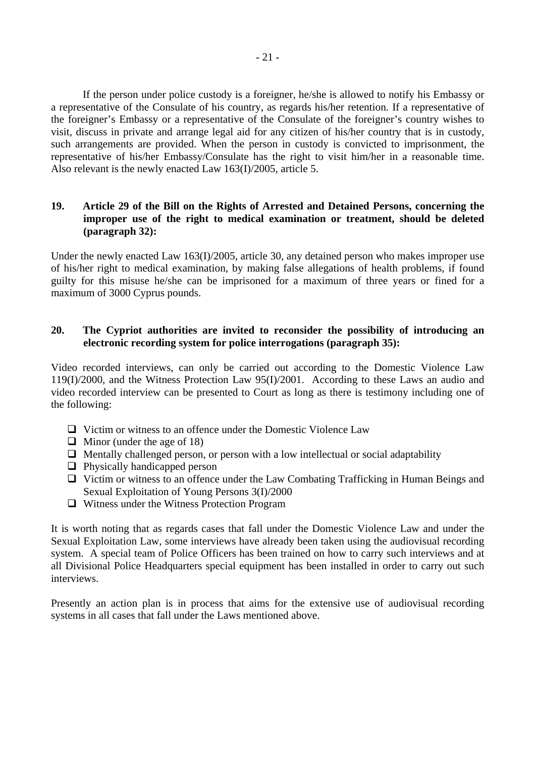If the person under police custody is a foreigner, he/she is allowed to notify his Embassy or a representative of the Consulate of his country, as regards his/her retention. If a representative of the foreigner's Embassy or a representative of the Consulate of the foreigner's country wishes to visit, discuss in private and arrange legal aid for any citizen of his/her country that is in custody, such arrangements are provided. When the person in custody is convicted to imprisonment, the representative of his/her Embassy/Consulate has the right to visit him/her in a reasonable time. Also relevant is the newly enacted Law 163(I)/2005, article 5.

## **19. Article 29 of the Bill on the Rights of Arrested and Detained Persons, concerning the improper use of the right to medical examination or treatment, should be deleted (paragraph 32):**

Under the newly enacted Law 163(I)/2005, article 30, any detained person who makes improper use of his/her right to medical examination, by making false allegations of health problems, if found guilty for this misuse he/she can be imprisoned for a maximum of three years or fined for a maximum of 3000 Cyprus pounds.

## **20. The Cypriot authorities are invited to reconsider the possibility of introducing an electronic recording system for police interrogations (paragraph 35):**

Video recorded interviews, can only be carried out according to the Domestic Violence Law 119(I)/2000, and the Witness Protection Law 95(I)/2001. According to these Laws an audio and video recorded interview can be presented to Court as long as there is testimony including one of the following:

- $\Box$  Victim or witness to an offence under the Domestic Violence Law
- $\Box$  Minor (under the age of 18)
- $\Box$  Mentally challenged person, or person with a low intellectual or social adaptability
- $\Box$  Physically handicapped person
- ! Victim or witness to an offence under the Law Combating Trafficking in Human Beings and Sexual Exploitation of Young Persons 3(I)/2000
- $\Box$  Witness under the Witness Protection Program

It is worth noting that as regards cases that fall under the Domestic Violence Law and under the Sexual Exploitation Law, some interviews have already been taken using the audiovisual recording system. A special team of Police Officers has been trained on how to carry such interviews and at all Divisional Police Headquarters special equipment has been installed in order to carry out such interviews.

Presently an action plan is in process that aims for the extensive use of audiovisual recording systems in all cases that fall under the Laws mentioned above.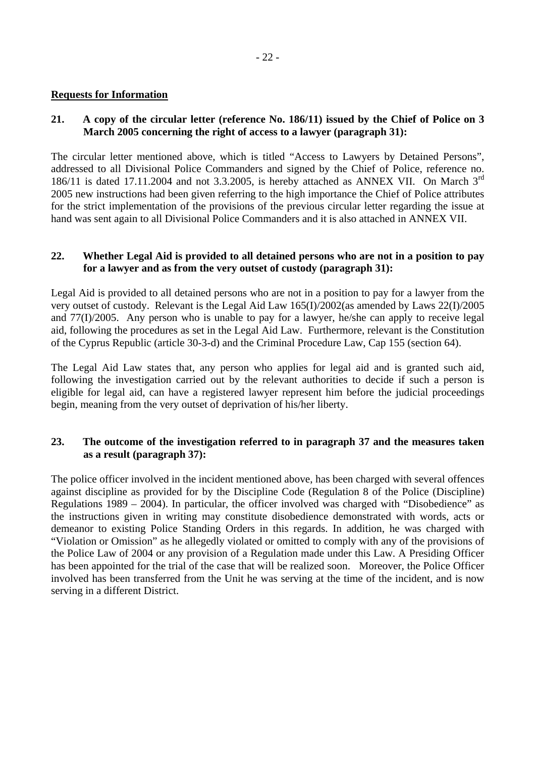## **Requests for Information**

# **21. A copy of the circular letter (reference No. 186/11) issued by the Chief of Police on 3 March 2005 concerning the right of access to a lawyer (paragraph 31):**

The circular letter mentioned above, which is titled "Access to Lawyers by Detained Persons", addressed to all Divisional Police Commanders and signed by the Chief of Police, reference no. 186/11 is dated 17.11.2004 and not 3.3.2005, is hereby attached as ANNEX VII. On March  $3<sup>rd</sup>$ 2005 new instructions had been given referring to the high importance the Chief of Police attributes for the strict implementation of the provisions of the previous circular letter regarding the issue at hand was sent again to all Divisional Police Commanders and it is also attached in ANNEX VII.

## **22. Whether Legal Aid is provided to all detained persons who are not in a position to pay for a lawyer and as from the very outset of custody (paragraph 31):**

Legal Aid is provided to all detained persons who are not in a position to pay for a lawyer from the very outset of custody. Relevant is the Legal Aid Law 165(I)/2002(as amended by Laws 22(I)/2005 and 77(I)/2005. Any person who is unable to pay for a lawyer, he/she can apply to receive legal aid, following the procedures as set in the Legal Aid Law. Furthermore, relevant is the Constitution of the Cyprus Republic (article 30-3-d) and the Criminal Procedure Law, Cap 155 (section 64).

The Legal Aid Law states that, any person who applies for legal aid and is granted such aid, following the investigation carried out by the relevant authorities to decide if such a person is eligible for legal aid, can have a registered lawyer represent him before the judicial proceedings begin, meaning from the very outset of deprivation of his/her liberty.

## **23. The outcome of the investigation referred to in paragraph 37 and the measures taken as a result (paragraph 37):**

The police officer involved in the incident mentioned above, has been charged with several offences against discipline as provided for by the Discipline Code (Regulation 8 of the Police (Discipline) Regulations 1989 – 2004). In particular, the officer involved was charged with "Disobedience" as the instructions given in writing may constitute disobedience demonstrated with words, acts or demeanor to existing Police Standing Orders in this regards. In addition, he was charged with "Violation or Omission" as he allegedly violated or omitted to comply with any of the provisions of the Police Law of 2004 or any provision of a Regulation made under this Law. A Presiding Officer has been appointed for the trial of the case that will be realized soon. Moreover, the Police Officer involved has been transferred from the Unit he was serving at the time of the incident, and is now serving in a different District.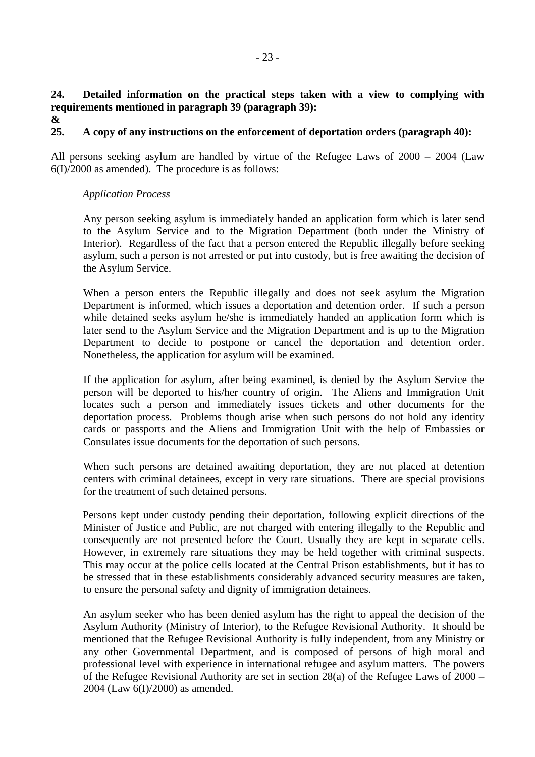**24. Detailed information on the practical steps taken with a view to complying with requirements mentioned in paragraph 39 (paragraph 39):** 

**&** 

# **25. A copy of any instructions on the enforcement of deportation orders (paragraph 40):**

All persons seeking asylum are handled by virtue of the Refugee Laws of 2000 – 2004 (Law 6(I)/2000 as amended). The procedure is as follows:

#### *Application Process*

Any person seeking asylum is immediately handed an application form which is later send to the Asylum Service and to the Migration Department (both under the Ministry of Interior). Regardless of the fact that a person entered the Republic illegally before seeking asylum, such a person is not arrested or put into custody, but is free awaiting the decision of the Asylum Service.

When a person enters the Republic illegally and does not seek asylum the Migration Department is informed, which issues a deportation and detention order. If such a person while detained seeks asylum he/she is immediately handed an application form which is later send to the Asylum Service and the Migration Department and is up to the Migration Department to decide to postpone or cancel the deportation and detention order. Nonetheless, the application for asylum will be examined.

If the application for asylum, after being examined, is denied by the Asylum Service the person will be deported to his/her country of origin. The Aliens and Immigration Unit locates such a person and immediately issues tickets and other documents for the deportation process. Problems though arise when such persons do not hold any identity cards or passports and the Aliens and Immigration Unit with the help of Embassies or Consulates issue documents for the deportation of such persons.

When such persons are detained awaiting deportation, they are not placed at detention centers with criminal detainees, except in very rare situations. There are special provisions for the treatment of such detained persons.

Persons kept under custody pending their deportation, following explicit directions of the Minister of Justice and Public, are not charged with entering illegally to the Republic and consequently are not presented before the Court. Usually they are kept in separate cells. However, in extremely rare situations they may be held together with criminal suspects. This may occur at the police cells located at the Central Prison establishments, but it has to be stressed that in these establishments considerably advanced security measures are taken, to ensure the personal safety and dignity of immigration detainees.

An asylum seeker who has been denied asylum has the right to appeal the decision of the Asylum Authority (Ministry of Interior), to the Refugee Revisional Authority. It should be mentioned that the Refugee Revisional Authority is fully independent, from any Ministry or any other Governmental Department, and is composed of persons of high moral and professional level with experience in international refugee and asylum matters. The powers of the Refugee Revisional Authority are set in section 28(a) of the Refugee Laws of 2000 – 2004 (Law 6(I)/2000) as amended.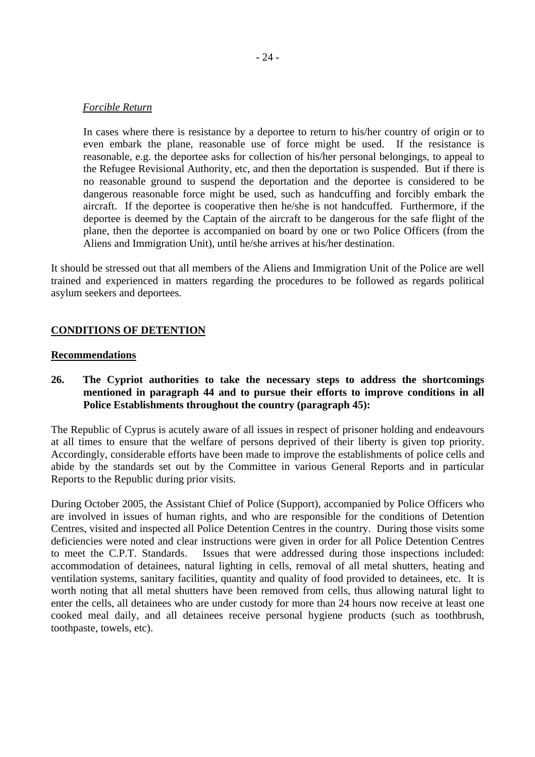#### *Forcible Return*

In cases where there is resistance by a deportee to return to his/her country of origin or to even embark the plane, reasonable use of force might be used. If the resistance is reasonable, e.g. the deportee asks for collection of his/her personal belongings, to appeal to the Refugee Revisional Authority, etc, and then the deportation is suspended. But if there is no reasonable ground to suspend the deportation and the deportee is considered to be dangerous reasonable force might be used, such as handcuffing and forcibly embark the aircraft. If the deportee is cooperative then he/she is not handcuffed. Furthermore, if the deportee is deemed by the Captain of the aircraft to be dangerous for the safe flight of the plane, then the deportee is accompanied on board by one or two Police Officers (from the Aliens and Immigration Unit), until he/she arrives at his/her destination.

It should be stressed out that all members of the Aliens and Immigration Unit of the Police are well trained and experienced in matters regarding the procedures to be followed as regards political asylum seekers and deportees.

#### **CONDITIONS OF DETENTION**

#### **Recommendations**

### **26. The Cypriot authorities to take the necessary steps to address the shortcomings mentioned in paragraph 44 and to pursue their efforts to improve conditions in all Police Establishments throughout the country (paragraph 45):**

The Republic of Cyprus is acutely aware of all issues in respect of prisoner holding and endeavours at all times to ensure that the welfare of persons deprived of their liberty is given top priority. Accordingly, considerable efforts have been made to improve the establishments of police cells and abide by the standards set out by the Committee in various General Reports and in particular Reports to the Republic during prior visits.

During October 2005, the Assistant Chief of Police (Support), accompanied by Police Officers who are involved in issues of human rights, and who are responsible for the conditions of Detention Centres, visited and inspected all Police Detention Centres in the country. During those visits some deficiencies were noted and clear instructions were given in order for all Police Detention Centres to meet the C.P.T. Standards. Issues that were addressed during those inspections included: accommodation of detainees, natural lighting in cells, removal of all metal shutters, heating and ventilation systems, sanitary facilities, quantity and quality of food provided to detainees, etc. It is worth noting that all metal shutters have been removed from cells, thus allowing natural light to enter the cells, all detainees who are under custody for more than 24 hours now receive at least one cooked meal daily, and all detainees receive personal hygiene products (such as toothbrush, toothpaste, towels, etc).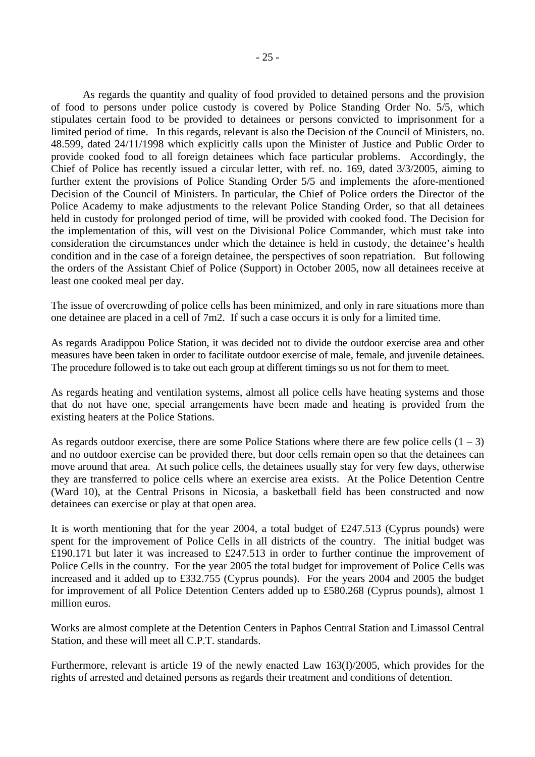As regards the quantity and quality of food provided to detained persons and the provision of food to persons under police custody is covered by Police Standing Order No. 5/5, which stipulates certain food to be provided to detainees or persons convicted to imprisonment for a limited period of time. In this regards, relevant is also the Decision of the Council of Ministers, no. 48.599, dated 24/11/1998 which explicitly calls upon the Minister of Justice and Public Order to provide cooked food to all foreign detainees which face particular problems. Accordingly, the Chief of Police has recently issued a circular letter, with ref. no. 169, dated 3/3/2005, aiming to further extent the provisions of Police Standing Order 5/5 and implements the afore-mentioned Decision of the Council of Ministers. In particular, the Chief of Police orders the Director of the Police Academy to make adjustments to the relevant Police Standing Order, so that all detainees held in custody for prolonged period of time, will be provided with cooked food. The Decision for the implementation of this, will vest on the Divisional Police Commander, which must take into consideration the circumstances under which the detainee is held in custody, the detainee's health condition and in the case of a foreign detainee, the perspectives of soon repatriation. But following the orders of the Assistant Chief of Police (Support) in October 2005, now all detainees receive at least one cooked meal per day.

The issue of overcrowding of police cells has been minimized, and only in rare situations more than one detainee are placed in a cell of 7m2. If such a case occurs it is only for a limited time.

As regards Aradippou Police Station, it was decided not to divide the outdoor exercise area and other measures have been taken in order to facilitate outdoor exercise of male, female, and juvenile detainees. The procedure followed is to take out each group at different timings so us not for them to meet.

As regards heating and ventilation systems, almost all police cells have heating systems and those that do not have one, special arrangements have been made and heating is provided from the existing heaters at the Police Stations.

As regards outdoor exercise, there are some Police Stations where there are few police cells  $(1 – 3)$ and no outdoor exercise can be provided there, but door cells remain open so that the detainees can move around that area. At such police cells, the detainees usually stay for very few days, otherwise they are transferred to police cells where an exercise area exists. At the Police Detention Centre (Ward 10), at the Central Prisons in Nicosia, a basketball field has been constructed and now detainees can exercise or play at that open area.

It is worth mentioning that for the year 2004, a total budget of £247.513 (Cyprus pounds) were spent for the improvement of Police Cells in all districts of the country. The initial budget was £190.171 but later it was increased to £247.513 in order to further continue the improvement of Police Cells in the country. For the year 2005 the total budget for improvement of Police Cells was increased and it added up to £332.755 (Cyprus pounds). For the years 2004 and 2005 the budget for improvement of all Police Detention Centers added up to £580.268 (Cyprus pounds), almost 1 million euros.

Works are almost complete at the Detention Centers in Paphos Central Station and Limassol Central Station, and these will meet all C.P.T. standards.

Furthermore, relevant is article 19 of the newly enacted Law 163(I)/2005, which provides for the rights of arrested and detained persons as regards their treatment and conditions of detention.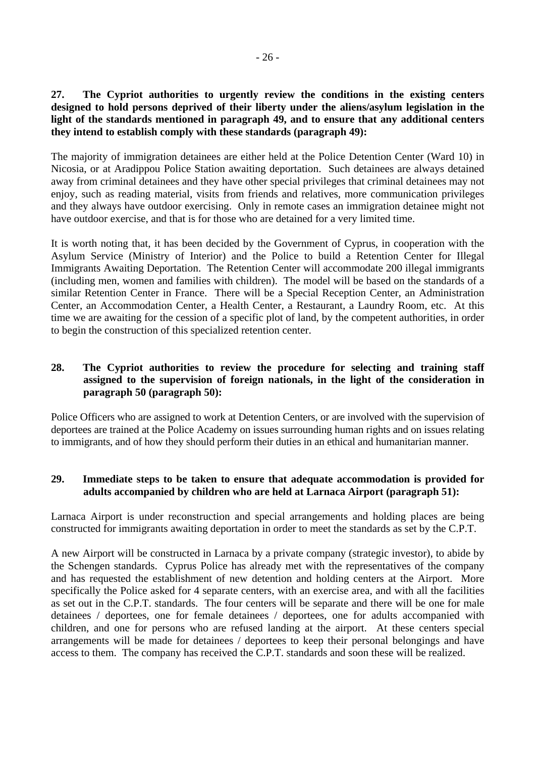**27. The Cypriot authorities to urgently review the conditions in the existing centers designed to hold persons deprived of their liberty under the aliens/asylum legislation in the light of the standards mentioned in paragraph 49, and to ensure that any additional centers they intend to establish comply with these standards (paragraph 49):** 

The majority of immigration detainees are either held at the Police Detention Center (Ward 10) in Nicosia, or at Aradippou Police Station awaiting deportation. Such detainees are always detained away from criminal detainees and they have other special privileges that criminal detainees may not enjoy, such as reading material, visits from friends and relatives, more communication privileges and they always have outdoor exercising. Only in remote cases an immigration detainee might not have outdoor exercise, and that is for those who are detained for a very limited time.

It is worth noting that, it has been decided by the Government of Cyprus, in cooperation with the Asylum Service (Ministry of Interior) and the Police to build a Retention Center for Illegal Immigrants Awaiting Deportation. The Retention Center will accommodate 200 illegal immigrants (including men, women and families with children). The model will be based on the standards of a similar Retention Center in France. There will be a Special Reception Center, an Administration Center, an Accommodation Center, a Health Center, a Restaurant, a Laundry Room, etc. At this time we are awaiting for the cession of a specific plot of land, by the competent authorities, in order to begin the construction of this specialized retention center.

## **28. The Cypriot authorities to review the procedure for selecting and training staff assigned to the supervision of foreign nationals, in the light of the consideration in paragraph 50 (paragraph 50):**

Police Officers who are assigned to work at Detention Centers, or are involved with the supervision of deportees are trained at the Police Academy on issues surrounding human rights and on issues relating to immigrants, and of how they should perform their duties in an ethical and humanitarian manner.

# **29. Immediate steps to be taken to ensure that adequate accommodation is provided for adults accompanied by children who are held at Larnaca Airport (paragraph 51):**

Larnaca Airport is under reconstruction and special arrangements and holding places are being constructed for immigrants awaiting deportation in order to meet the standards as set by the C.P.T.

A new Airport will be constructed in Larnaca by a private company (strategic investor), to abide by the Schengen standards. Cyprus Police has already met with the representatives of the company and has requested the establishment of new detention and holding centers at the Airport. More specifically the Police asked for 4 separate centers, with an exercise area, and with all the facilities as set out in the C.P.T. standards. The four centers will be separate and there will be one for male detainees / deportees, one for female detainees / deportees, one for adults accompanied with children, and one for persons who are refused landing at the airport. At these centers special arrangements will be made for detainees / deportees to keep their personal belongings and have access to them. The company has received the C.P.T. standards and soon these will be realized.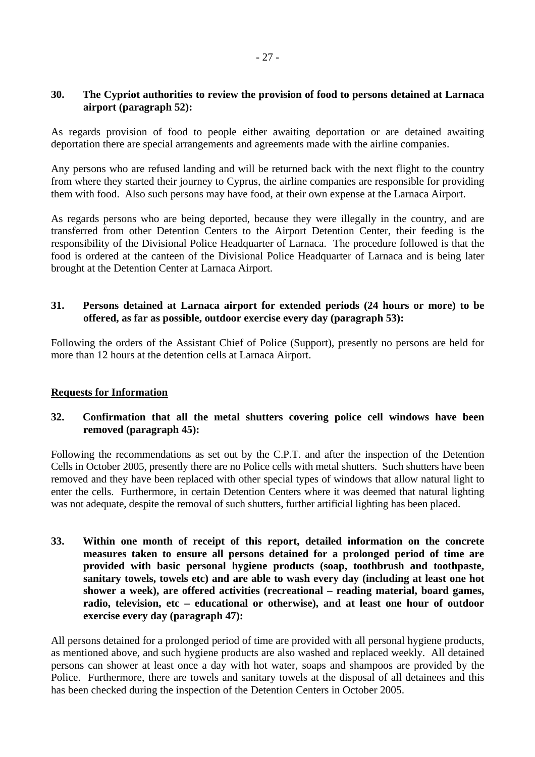## **30. The Cypriot authorities to review the provision of food to persons detained at Larnaca airport (paragraph 52):**

As regards provision of food to people either awaiting deportation or are detained awaiting deportation there are special arrangements and agreements made with the airline companies.

Any persons who are refused landing and will be returned back with the next flight to the country from where they started their journey to Cyprus, the airline companies are responsible for providing them with food. Also such persons may have food, at their own expense at the Larnaca Airport.

As regards persons who are being deported, because they were illegally in the country, and are transferred from other Detention Centers to the Airport Detention Center, their feeding is the responsibility of the Divisional Police Headquarter of Larnaca. The procedure followed is that the food is ordered at the canteen of the Divisional Police Headquarter of Larnaca and is being later brought at the Detention Center at Larnaca Airport.

## **31. Persons detained at Larnaca airport for extended periods (24 hours or more) to be offered, as far as possible, outdoor exercise every day (paragraph 53):**

Following the orders of the Assistant Chief of Police (Support), presently no persons are held for more than 12 hours at the detention cells at Larnaca Airport.

#### **Requests for Information**

# **32. Confirmation that all the metal shutters covering police cell windows have been removed (paragraph 45):**

Following the recommendations as set out by the C.P.T. and after the inspection of the Detention Cells in October 2005, presently there are no Police cells with metal shutters. Such shutters have been removed and they have been replaced with other special types of windows that allow natural light to enter the cells. Furthermore, in certain Detention Centers where it was deemed that natural lighting was not adequate, despite the removal of such shutters, further artificial lighting has been placed.

**33. Within one month of receipt of this report, detailed information on the concrete measures taken to ensure all persons detained for a prolonged period of time are provided with basic personal hygiene products (soap, toothbrush and toothpaste, sanitary towels, towels etc) and are able to wash every day (including at least one hot shower a week), are offered activities (recreational – reading material, board games, radio, television, etc – educational or otherwise), and at least one hour of outdoor exercise every day (paragraph 47):** 

All persons detained for a prolonged period of time are provided with all personal hygiene products, as mentioned above, and such hygiene products are also washed and replaced weekly. All detained persons can shower at least once a day with hot water, soaps and shampoos are provided by the Police. Furthermore, there are towels and sanitary towels at the disposal of all detainees and this has been checked during the inspection of the Detention Centers in October 2005.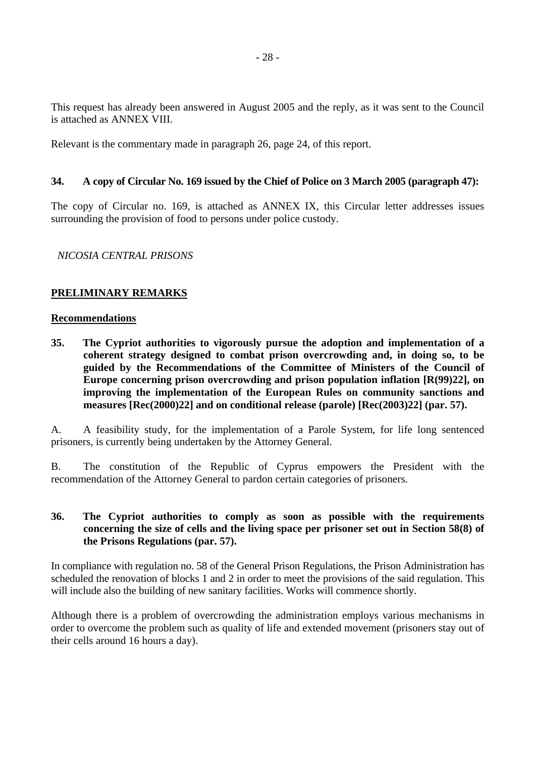This request has already been answered in August 2005 and the reply, as it was sent to the Council is attached as ANNEX VIII.

Relevant is the commentary made in paragraph 26, page 24, of this report.

## **34. A copy of Circular No. 169 issued by the Chief of Police on 3 March 2005 (paragraph 47):**

The copy of Circular no. 169, is attached as ANNEX IX, this Circular letter addresses issues surrounding the provision of food to persons under police custody.

## *NICOSIA CENTRAL PRISONS*

# **PRELIMINARY REMARKS**

#### **Recommendations**

**35. The Cypriot authorities to vigorously pursue the adoption and implementation of a coherent strategy designed to combat prison overcrowding and, in doing so, to be guided by the Recommendations of the Committee of Ministers of the Council of Europe concerning prison overcrowding and prison population inflation [R(99)22], on improving the implementation of the European Rules on community sanctions and measures [Rec(2000)22] and on conditional release (parole) [Rec(2003)22] (par. 57).** 

A. A feasibility study, for the implementation of a Parole System, for life long sentenced prisoners, is currently being undertaken by the Attorney General.

B. The constitution of the Republic of Cyprus empowers the President with the recommendation of the Attorney General to pardon certain categories of prisoners.

### **36. The Cypriot authorities to comply as soon as possible with the requirements concerning the size of cells and the living space per prisoner set out in Section 58(8) of the Prisons Regulations (par. 57).**

In compliance with regulation no. 58 of the General Prison Regulations, the Prison Administration has scheduled the renovation of blocks 1 and 2 in order to meet the provisions of the said regulation. This will include also the building of new sanitary facilities. Works will commence shortly.

Although there is a problem of overcrowding the administration employs various mechanisms in order to overcome the problem such as quality of life and extended movement (prisoners stay out of their cells around 16 hours a day).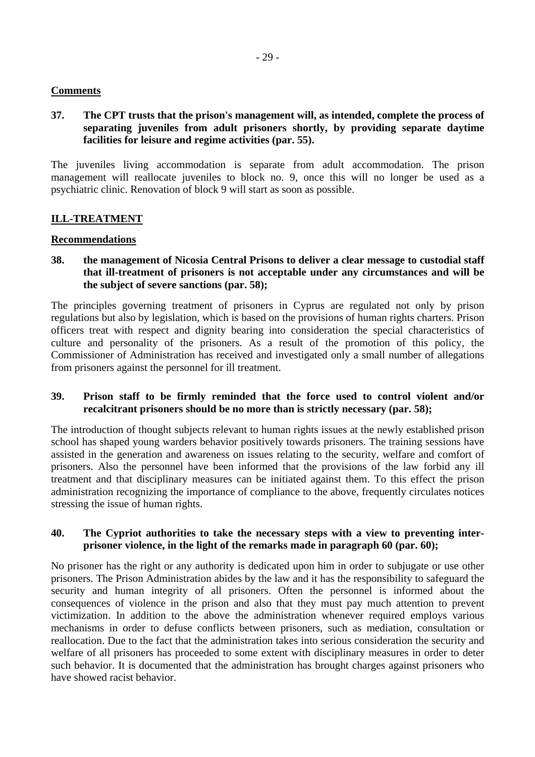## **Comments**

## **37. The CPT trusts that the prison's management will, as intended, complete the process of separating juveniles from adult prisoners shortly, by providing separate daytime facilities for leisure and regime activities (par. 55).**

The juveniles living accommodation is separate from adult accommodation. The prison management will reallocate juveniles to block no. 9, once this will no longer be used as a psychiatric clinic. Renovation of block 9 will start as soon as possible.

# **ILL-TREATMENT**

#### **Recommendations**

**38. the management of Nicosia Central Prisons to deliver a clear message to custodial staff that ill-treatment of prisoners is not acceptable under any circumstances and will be the subject of severe sanctions (par. 58);** 

The principles governing treatment of prisoners in Cyprus are regulated not only by prison regulations but also by legislation, which is based on the provisions of human rights charters. Prison officers treat with respect and dignity bearing into consideration the special characteristics of culture and personality of the prisoners. As a result of the promotion of this policy, the Commissioner of Administration has received and investigated only a small number of allegations from prisoners against the personnel for ill treatment.

#### **39. Prison staff to be firmly reminded that the force used to control violent and/or recalcitrant prisoners should be no more than is strictly necessary (par. 58);**

The introduction of thought subjects relevant to human rights issues at the newly established prison school has shaped young warders behavior positively towards prisoners. The training sessions have assisted in the generation and awareness on issues relating to the security, welfare and comfort of prisoners. Also the personnel have been informed that the provisions of the law forbid any ill treatment and that disciplinary measures can be initiated against them. To this effect the prison administration recognizing the importance of compliance to the above, frequently circulates notices stressing the issue of human rights.

#### **40. The Cypriot authorities to take the necessary steps with a view to preventing interprisoner violence, in the light of the remarks made in paragraph 60 (par. 60);**

No prisoner has the right or any authority is dedicated upon him in order to subjugate or use other prisoners. The Prison Administration abides by the law and it has the responsibility to safeguard the security and human integrity of all prisoners. Often the personnel is informed about the consequences of violence in the prison and also that they must pay much attention to prevent victimization. In addition to the above the administration whenever required employs various mechanisms in order to defuse conflicts between prisoners, such as mediation, consultation or reallocation. Due to the fact that the administration takes into serious consideration the security and welfare of all prisoners has proceeded to some extent with disciplinary measures in order to deter such behavior. It is documented that the administration has brought charges against prisoners who have showed racist behavior.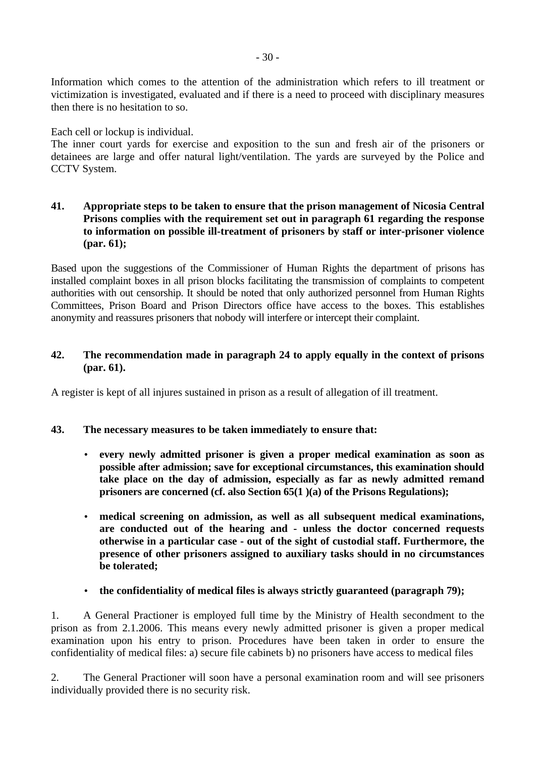Information which comes to the attention of the administration which refers to ill treatment or victimization is investigated, evaluated and if there is a need to proceed with disciplinary measures then there is no hesitation to so.

Each cell or lockup is individual.

The inner court yards for exercise and exposition to the sun and fresh air of the prisoners or detainees are large and offer natural light/ventilation. The yards are surveyed by the Police and CCTV System.

## **41. Appropriate steps to be taken to ensure that the prison management of Nicosia Central Prisons complies with the requirement set out in paragraph 61 regarding the response to information on possible ill-treatment of prisoners by staff or inter-prisoner violence (par. 61);**

Based upon the suggestions of the Commissioner of Human Rights the department of prisons has installed complaint boxes in all prison blocks facilitating the transmission of complaints to competent authorities with out censorship. It should be noted that only authorized personnel from Human Rights Committees, Prison Board and Prison Directors office have access to the boxes. This establishes anonymity and reassures prisoners that nobody will interfere or intercept their complaint.

# **42. The recommendation made in paragraph 24 to apply equally in the context of prisons (par. 61).**

A register is kept of all injures sustained in prison as a result of allegation of ill treatment.

# **43. The necessary measures to be taken immediately to ensure that:**

- **every newly admitted prisoner is given a proper medical examination as soon as possible after admission; save for exceptional circumstances, this examination should take place on the day of admission, especially as far as newly admitted remand prisoners are concerned (cf. also Section 65(1 )(a) of the Prisons Regulations);**
- **medical screening on admission, as well as all subsequent medical examinations, are conducted out of the hearing and - unless the doctor concerned requests otherwise in a particular case - out of the sight of custodial staff. Furthermore, the presence of other prisoners assigned to auxiliary tasks should in no circumstances be tolerated;**
- **the confidentiality of medical files is always strictly guaranteed (paragraph 79);**

1. A General Practioner is employed full time by the Ministry of Health secondment to the prison as from 2.1.2006. This means every newly admitted prisoner is given a proper medical examination upon his entry to prison. Procedures have been taken in order to ensure the confidentiality of medical files: a) secure file cabinets b) no prisoners have access to medical files

2. The General Practioner will soon have a personal examination room and will see prisoners individually provided there is no security risk.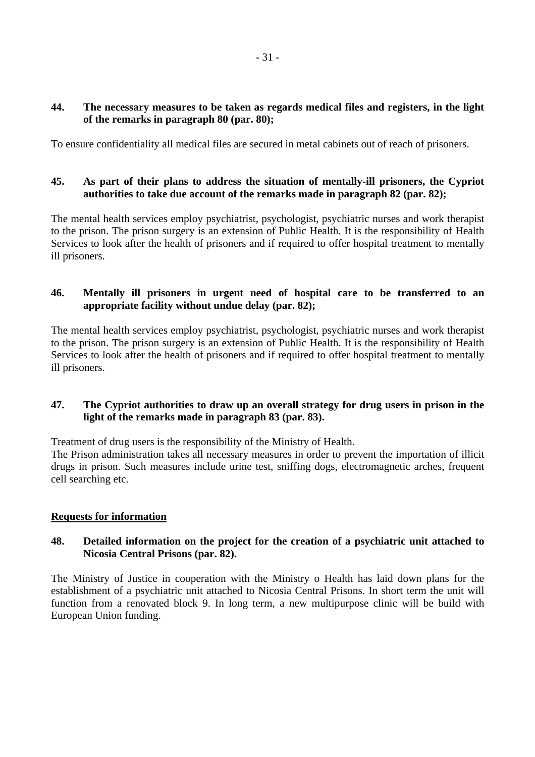## **44. The necessary measures to be taken as regards medical files and registers, in the light of the remarks in paragraph 80 (par. 80);**

To ensure confidentiality all medical files are secured in metal cabinets out of reach of prisoners.

## **45. As part of their plans to address the situation of mentally-ill prisoners, the Cypriot authorities to take due account of the remarks made in paragraph 82 (par. 82);**

The mental health services employ psychiatrist, psychologist, psychiatric nurses and work therapist to the prison. The prison surgery is an extension of Public Health. It is the responsibility of Health Services to look after the health of prisoners and if required to offer hospital treatment to mentally ill prisoners.

# **46. Mentally ill prisoners in urgent need of hospital care to be transferred to an appropriate facility without undue delay (par. 82);**

The mental health services employ psychiatrist, psychologist, psychiatric nurses and work therapist to the prison. The prison surgery is an extension of Public Health. It is the responsibility of Health Services to look after the health of prisoners and if required to offer hospital treatment to mentally ill prisoners.

## **47. The Cypriot authorities to draw up an overall strategy for drug users in prison in the light of the remarks made in paragraph 83 (par. 83).**

Treatment of drug users is the responsibility of the Ministry of Health.

The Prison administration takes all necessary measures in order to prevent the importation of illicit drugs in prison. Such measures include urine test, sniffing dogs, electromagnetic arches, frequent cell searching etc.

#### **Requests for information**

# **48. Detailed information on the project for the creation of a psychiatric unit attached to Nicosia Central Prisons (par. 82).**

The Ministry of Justice in cooperation with the Ministry o Health has laid down plans for the establishment of a psychiatric unit attached to Nicosia Central Prisons. In short term the unit will function from a renovated block 9. In long term, a new multipurpose clinic will be build with European Union funding.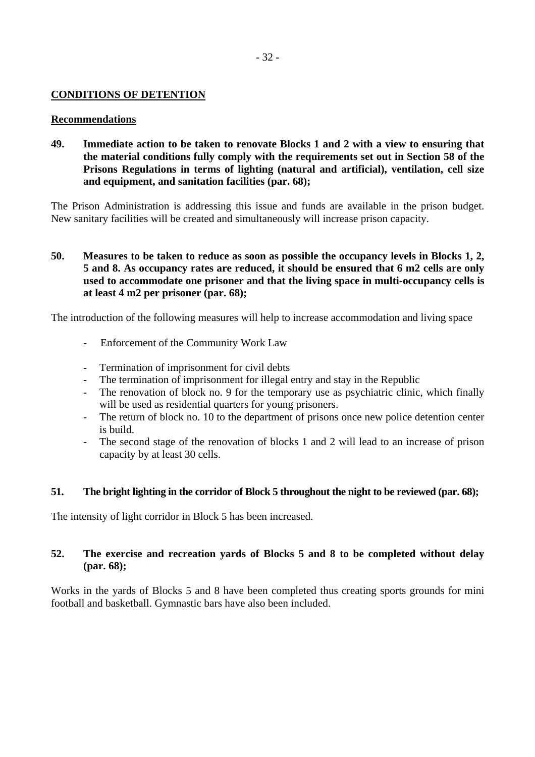## **CONDITIONS OF DETENTION**

#### **Recommendations**

**49. Immediate action to be taken to renovate Blocks 1 and 2 with a view to ensuring that the material conditions fully comply with the requirements set out in Section 58 of the Prisons Regulations in terms of lighting (natural and artificial), ventilation, cell size and equipment, and sanitation facilities (par. 68);** 

The Prison Administration is addressing this issue and funds are available in the prison budget. New sanitary facilities will be created and simultaneously will increase prison capacity.

## **50. Measures to be taken to reduce as soon as possible the occupancy levels in Blocks 1, 2, 5 and 8. As occupancy rates are reduced, it should be ensured that 6 m2 cells are only used to accommodate one prisoner and that the living space in multi-occupancy cells is at least 4 m2 per prisoner (par. 68);**

The introduction of the following measures will help to increase accommodation and living space

- Enforcement of the Community Work Law
- Termination of imprisonment for civil debts
- The termination of imprisonment for illegal entry and stay in the Republic
- The renovation of block no. 9 for the temporary use as psychiatric clinic, which finally will be used as residential quarters for young prisoners.
- The return of block no. 10 to the department of prisons once new police detention center is build.
- The second stage of the renovation of blocks 1 and 2 will lead to an increase of prison capacity by at least 30 cells.

#### **51. The bright lighting in the corridor of Block 5 throughout the night to be reviewed (par. 68);**

The intensity of light corridor in Block 5 has been increased.

## **52. The exercise and recreation yards of Blocks 5 and 8 to be completed without delay (par. 68);**

Works in the yards of Blocks 5 and 8 have been completed thus creating sports grounds for mini football and basketball. Gymnastic bars have also been included.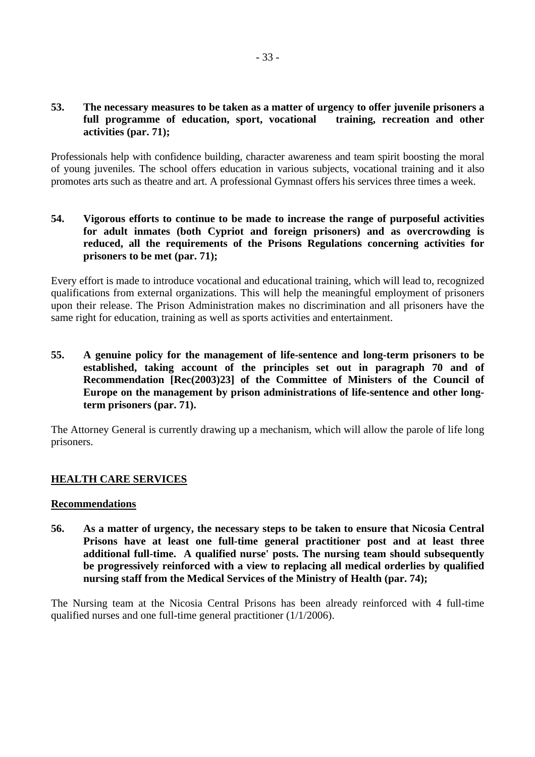## **53. The necessary measures to be taken as a matter of urgency to offer juvenile prisoners a full programme of education, sport, vocational training, recreation and other activities (par. 71);**

Professionals help with confidence building, character awareness and team spirit boosting the moral of young juveniles. The school offers education in various subjects, vocational training and it also promotes arts such as theatre and art. A professional Gymnast offers his services three times a week.

## **54. Vigorous efforts to continue to be made to increase the range of purposeful activities for adult inmates (both Cypriot and foreign prisoners) and as overcrowding is reduced, all the requirements of the Prisons Regulations concerning activities for prisoners to be met (par. 71);**

Every effort is made to introduce vocational and educational training, which will lead to, recognized qualifications from external organizations. This will help the meaningful employment of prisoners upon their release. The Prison Administration makes no discrimination and all prisoners have the same right for education, training as well as sports activities and entertainment.

**55. A genuine policy for the management of life-sentence and long-term prisoners to be established, taking account of the principles set out in paragraph 70 and of Recommendation [Rec(2003)23] of the Committee of Ministers of the Council of Europe on the management by prison administrations of life-sentence and other longterm prisoners (par. 71).** 

The Attorney General is currently drawing up a mechanism, which will allow the parole of life long prisoners.

# **HEALTH CARE SERVICES**

#### **Recommendations**

**56. As a matter of urgency, the necessary steps to be taken to ensure that Nicosia Central Prisons have at least one full-time general practitioner post and at least three additional full-time. A qualified nurse' posts. The nursing team should subsequently be progressively reinforced with a view to replacing all medical orderlies by qualified nursing staff from the Medical Services of the Ministry of Health (par. 74);** 

The Nursing team at the Nicosia Central Prisons has been already reinforced with 4 full-time qualified nurses and one full-time general practitioner (1/1/2006).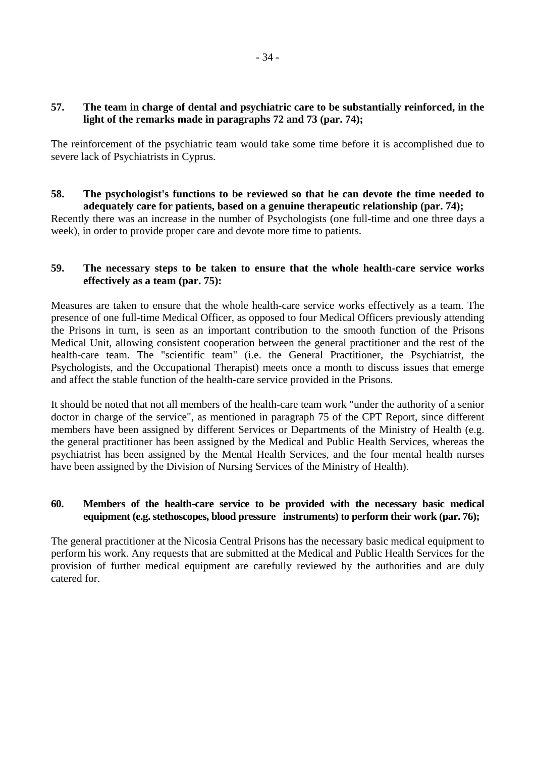## **57. The team in charge of dental and psychiatric care to be substantially reinforced, in the light of the remarks made in paragraphs 72 and 73 (par. 74);**

The reinforcement of the psychiatric team would take some time before it is accomplished due to severe lack of Psychiatrists in Cyprus.

## **58. The psychologist's functions to be reviewed so that he can devote the time needed to adequately care for patients, based on a genuine therapeutic relationship (par. 74);**

Recently there was an increase in the number of Psychologists (one full-time and one three days a week), in order to provide proper care and devote more time to patients.

## **59. The necessary steps to be taken to ensure that the whole health-care service works effectively as a team (par. 75):**

Measures are taken to ensure that the whole health-care service works effectively as a team. The presence of one full-time Medical Officer, as opposed to four Medical Officers previously attending the Prisons in turn, is seen as an important contribution to the smooth function of the Prisons Medical Unit, allowing consistent cooperation between the general practitioner and the rest of the health-care team. The "scientific team" (i.e. the General Practitioner, the Psychiatrist, the Psychologists, and the Occupational Therapist) meets once a month to discuss issues that emerge and affect the stable function of the health-care service provided in the Prisons.

It should be noted that not all members of the health-care team work "under the authority of a senior doctor in charge of the service", as mentioned in paragraph 75 of the CPT Report, since different members have been assigned by different Services or Departments of the Ministry of Health (e.g. the general practitioner has been assigned by the Medical and Public Health Services, whereas the psychiatrist has been assigned by the Mental Health Services, and the four mental health nurses have been assigned by the Division of Nursing Services of the Ministry of Health).

# **60. Members of the health-care service to be provided with the necessary basic medical equipment (e.g. stethoscopes, blood pressure instruments) to perform their work (par. 76);**

The general practitioner at the Nicosia Central Prisons has the necessary basic medical equipment to perform his work. Any requests that are submitted at the Medical and Public Health Services for the provision of further medical equipment are carefully reviewed by the authorities and are duly catered for.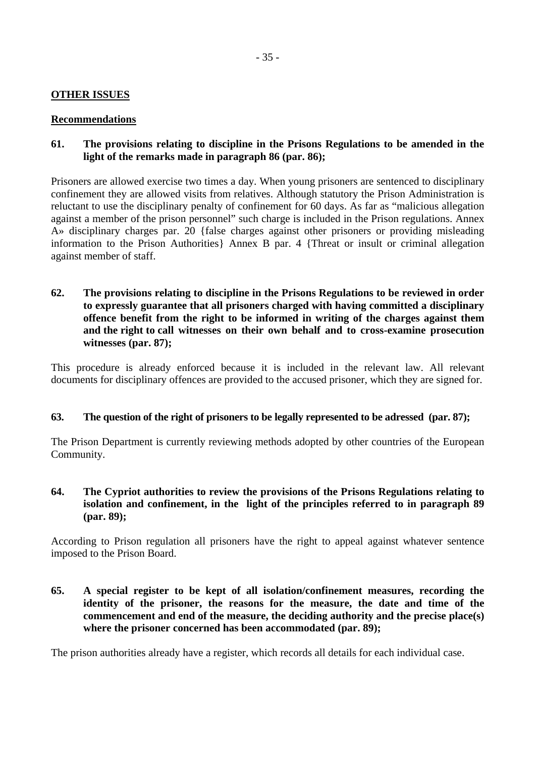#### **OTHER ISSUES**

#### **Recommendations**

## **61. The provisions relating to discipline in the Prisons Regulations to be amended in the light of the remarks made in paragraph 86 (par. 86);**

Prisoners are allowed exercise two times a day. When young prisoners are sentenced to disciplinary confinement they are allowed visits from relatives. Although statutory the Prison Administration is reluctant to use the disciplinary penalty of confinement for 60 days. As far as "malicious allegation against a member of the prison personnel" such charge is included in the Prison regulations. Annex A» disciplinary charges par. 20 {false charges against other prisoners or providing misleading information to the Prison Authorities} Annex B par. 4 {Threat or insult or criminal allegation against member of staff.

**62. The provisions relating to discipline in the Prisons Regulations to be reviewed in order to expressly guarantee that all prisoners charged with having committed a disciplinary offence benefit from the right to be informed in writing of the charges against them and the right to call witnesses on their own behalf and to cross-examine prosecution witnesses (par. 87);** 

This procedure is already enforced because it is included in the relevant law. All relevant documents for disciplinary offences are provided to the accused prisoner, which they are signed for.

#### **63. The question of the right of prisoners to be legally represented to be adressed (par. 87);**

The Prison Department is currently reviewing methods adopted by other countries of the European Community.

### **64. The Cypriot authorities to review the provisions of the Prisons Regulations relating to isolation and confinement, in the light of the principles referred to in paragraph 89 (par. 89);**

According to Prison regulation all prisoners have the right to appeal against whatever sentence imposed to the Prison Board.

**65. A special register to be kept of all isolation/confinement measures, recording the identity of the prisoner, the reasons for the measure, the date and time of the commencement and end of the measure, the deciding authority and the precise place(s) where the prisoner concerned has been accommodated (par. 89);** 

The prison authorities already have a register, which records all details for each individual case.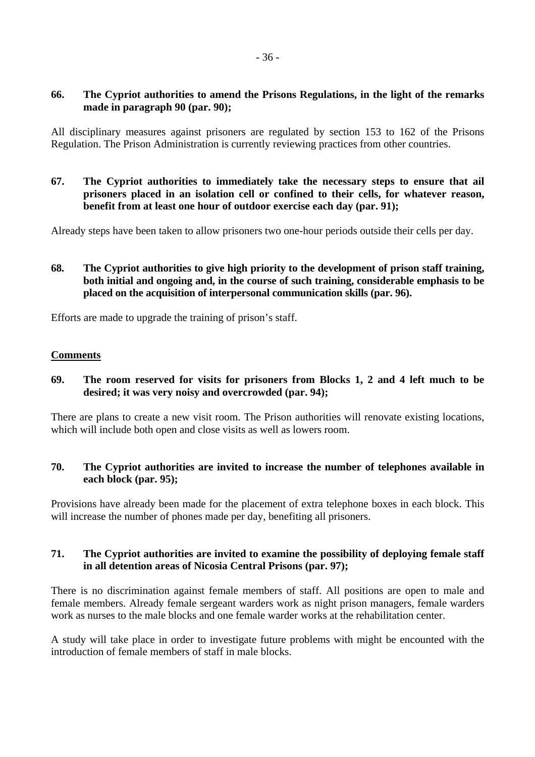#### **66. The Cypriot authorities to amend the Prisons Regulations, in the light of the remarks made in paragraph 90 (par. 90);**

All disciplinary measures against prisoners are regulated by section 153 to 162 of the Prisons Regulation. The Prison Administration is currently reviewing practices from other countries.

**67. The Cypriot authorities to immediately take the necessary steps to ensure that ail prisoners placed in an isolation cell or confined to their cells, for whatever reason, benefit from at least one hour of outdoor exercise each day (par. 91);** 

Already steps have been taken to allow prisoners two one-hour periods outside their cells per day.

**68. The Cypriot authorities to give high priority to the development of prison staff training, both initial and ongoing and, in the course of such training, considerable emphasis to be placed on the acquisition of interpersonal communication skills (par. 96).** 

Efforts are made to upgrade the training of prison's staff.

#### **Comments**

#### **69. The room reserved for visits for prisoners from Blocks 1, 2 and 4 left much to be desired; it was very noisy and overcrowded (par. 94);**

There are plans to create a new visit room. The Prison authorities will renovate existing locations, which will include both open and close visits as well as lowers room.

## **70. The Cypriot authorities are invited to increase the number of telephones available in each block (par. 95);**

Provisions have already been made for the placement of extra telephone boxes in each block. This will increase the number of phones made per day, benefiting all prisoners.

#### **71. The Cypriot authorities are invited to examine the possibility of deploying female staff in all detention areas of Nicosia Central Prisons (par. 97);**

There is no discrimination against female members of staff. All positions are open to male and female members. Already female sergeant warders work as night prison managers, female warders work as nurses to the male blocks and one female warder works at the rehabilitation center.

A study will take place in order to investigate future problems with might be encounted with the introduction of female members of staff in male blocks.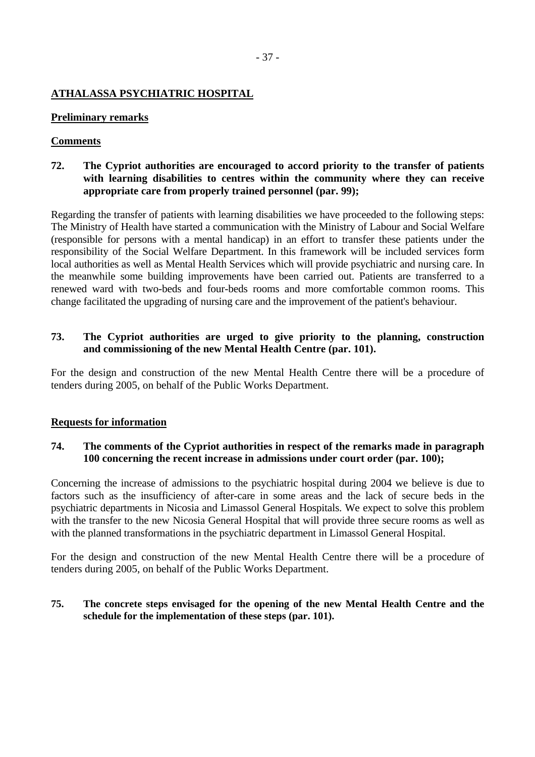## **ATHALASSA PSYCHIATRIC HOSPITAL**

#### **Preliminary remarks**

#### **Comments**

## **72. The Cypriot authorities are encouraged to accord priority to the transfer of patients with learning disabilities to centres within the community where they can receive appropriate care from properly trained personnel (par. 99);**

Regarding the transfer of patients with learning disabilities we have proceeded to the following steps: The Ministry of Health have started a communication with the Ministry of Labour and Social Welfare (responsible for persons with a mental handicap) in an effort to transfer these patients under the responsibility of the Social Welfare Department. In this framework will be included services form local authorities as well as Mental Health Services which will provide psychiatric and nursing care. In the meanwhile some building improvements have been carried out. Patients are transferred to a renewed ward with two-beds and four-beds rooms and more comfortable common rooms. This change facilitated the upgrading of nursing care and the improvement of the patient's behaviour.

#### **73. The Cypriot authorities are urged to give priority to the planning, construction and commissioning of the new Mental Health Centre (par. 101).**

For the design and construction of the new Mental Health Centre there will be a procedure of tenders during 2005, on behalf of the Public Works Department.

#### **Requests for information**

## **74. The comments of the Cypriot authorities in respect of the remarks made in paragraph 100 concerning the recent increase in admissions under court order (par. 100);**

Concerning the increase of admissions to the psychiatric hospital during 2004 we believe is due to factors such as the insufficiency of after-care in some areas and the lack of secure beds in the psychiatric departments in Nicosia and Limassol General Hospitals. We expect to solve this problem with the transfer to the new Nicosia General Hospital that will provide three secure rooms as well as with the planned transformations in the psychiatric department in Limassol General Hospital.

For the design and construction of the new Mental Health Centre there will be a procedure of tenders during 2005, on behalf of the Public Works Department.

#### **75. The concrete steps envisaged for the opening of the new Mental Health Centre and the schedule for the implementation of these steps (par. 101).**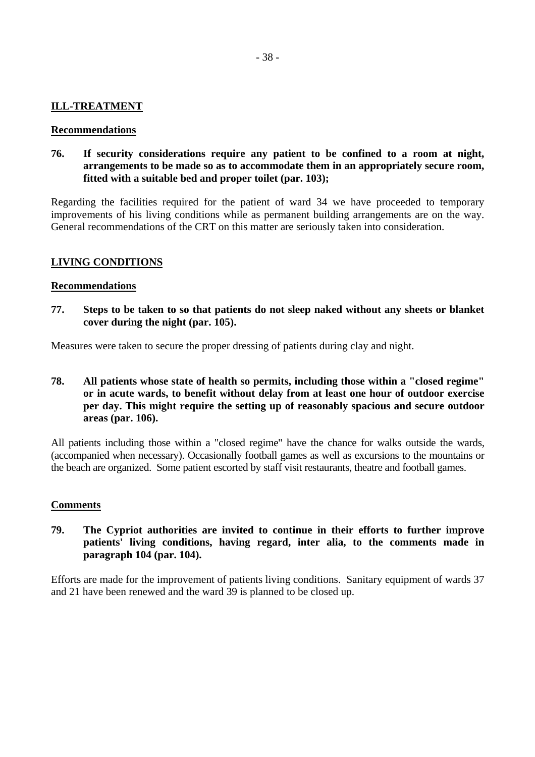#### **ILL-TREATMENT**

#### **Recommendations**

**76. If security considerations require any patient to be confined to a room at night, arrangements to be made so as to accommodate them in an appropriately secure room, fitted with a suitable bed and proper toilet (par. 103);** 

Regarding the facilities required for the patient of ward 34 we have proceeded to temporary improvements of his living conditions while as permanent building arrangements are on the way. General recommendations of the CRT on this matter are seriously taken into consideration.

#### **LIVING CONDITIONS**

#### **Recommendations**

**77. Steps to be taken to so that patients do not sleep naked without any sheets or blanket cover during the night (par. 105).** 

Measures were taken to secure the proper dressing of patients during clay and night.

## **78. All patients whose state of health so permits, including those within a "closed regime" or in acute wards, to benefit without delay from at least one hour of outdoor exercise per day. This might require the setting up of reasonably spacious and secure outdoor areas (par. 106).**

All patients including those within a "closed regime" have the chance for walks outside the wards, (accompanied when necessary). Occasionally football games as well as excursions to the mountains or the beach are organized. Some patient escorted by staff visit restaurants, theatre and football games.

#### **Comments**

# **79. The Cypriot authorities are invited to continue in their efforts to further improve patients' living conditions, having regard, inter alia, to the comments made in paragraph 104 (par. 104).**

Efforts are made for the improvement of patients living conditions. Sanitary equipment of wards 37 and 21 have been renewed and the ward 39 is planned to be closed up.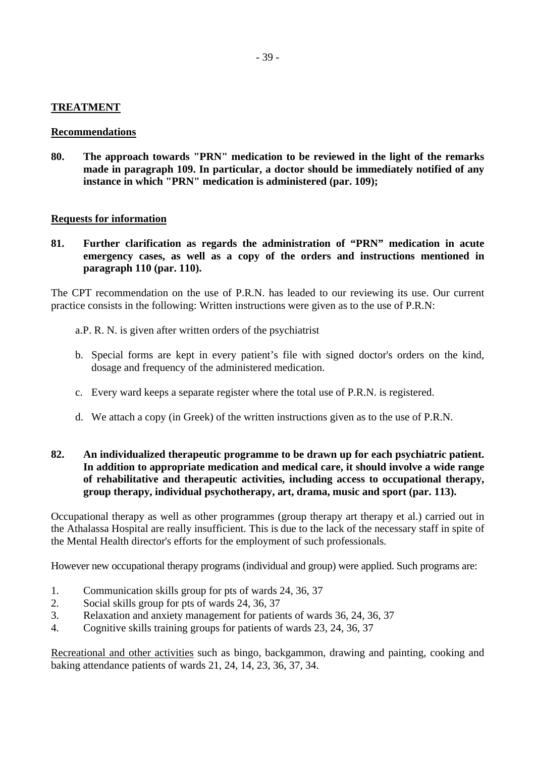#### **TREATMENT**

#### **Recommendations**

**80. The approach towards "PRN" medication to be reviewed in the light of the remarks made in paragraph 109. In particular, a doctor should be immediately notified of any instance in which "PRN" medication is administered (par. 109);** 

#### **Requests for information**

**81. Further clarification as regards the administration of "PRN" medication in acute emergency cases, as well as a copy of the orders and instructions mentioned in paragraph 110 (par. 110).** 

The CPT recommendation on the use of P.R.N. has leaded to our reviewing its use. Our current practice consists in the following: Written instructions were given as to the use of P.R.N:

- a. P. R. N. is given after written orders of the psychiatrist
- b. Special forms are kept in every patient's file with signed doctor's orders on the kind, dosage and frequency of the administered medication.
- c. Every ward keeps a separate register where the total use of P.R.N. is registered.
- d. We attach a copy (in Greek) of the written instructions given as to the use of P.R.N.

## **82. An individualized therapeutic programme to be drawn up for each psychiatric patient. In addition to appropriate medication and medical care, it should involve a wide range of rehabilitative and therapeutic activities, including access to occupational therapy, group therapy, individual psychotherapy, art, drama, music and sport (par. 113).**

Occupational therapy as well as other programmes (group therapy art therapy et al.) carried out in the Athalassa Hospital are really insufficient. This is due to the lack of the necessary staff in spite of the Mental Health director's efforts for the employment of such professionals.

However new occupational therapy programs (individual and group) were applied. Such programs are:

- 1. Communication skills group for pts of wards 24, 36, 37
- 2. Social skills group for pts of wards 24, 36, 37
- 3. Relaxation and anxiety management for patients of wards 36, 24, 36, 37
- 4. Cognitive skills training groups for patients of wards 23, 24, 36, 37

Recreational and other activities such as bingo, backgammon, drawing and painting, cooking and baking attendance patients of wards 21, 24, 14, 23, 36, 37, 34.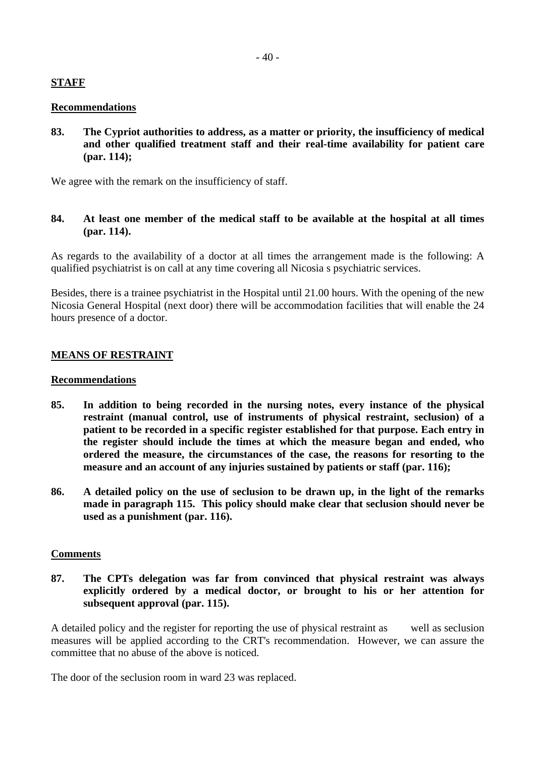# **STAFF**

#### **Recommendations**

**83. The Cypriot authorities to address, as a matter or priority, the insufficiency of medical and other qualified treatment staff and their real-time availability for patient care (par. 114);** 

We agree with the remark on the insufficiency of staff.

**84. At least one member of the medical staff to be available at the hospital at all times (par. 114).** 

As regards to the availability of a doctor at all times the arrangement made is the following: A qualified psychiatrist is on call at any time covering all Nicosia s psychiatric services.

Besides, there is a trainee psychiatrist in the Hospital until 21.00 hours. With the opening of the new Nicosia General Hospital (next door) there will be accommodation facilities that will enable the 24 hours presence of a doctor.

# **MEANS OF RESTRAINT**

#### **Recommendations**

- **85. In addition to being recorded in the nursing notes, every instance of the physical restraint (manual control, use of instruments of physical restraint, seclusion) of a patient to be recorded in a specific register established for that purpose. Each entry in the register should include the times at which the measure began and ended, who ordered the measure, the circumstances of the case, the reasons for resorting to the measure and an account of any injuries sustained by patients or staff (par. 116);**
- **86. A detailed policy on the use of seclusion to be drawn up, in the light of the remarks made in paragraph 115. This policy should make clear that seclusion should never be used as a punishment (par. 116).**

#### **Comments**

**87. The CPTs delegation was far from convinced that physical restraint was always explicitly ordered by a medical doctor, or brought to his or her attention for subsequent approval (par. 115).** 

A detailed policy and the register for reporting the use of physical restraint as well as seclusion measures will be applied according to the CRT's recommendation. However, we can assure the committee that no abuse of the above is noticed.

The door of the seclusion room in ward 23 was replaced.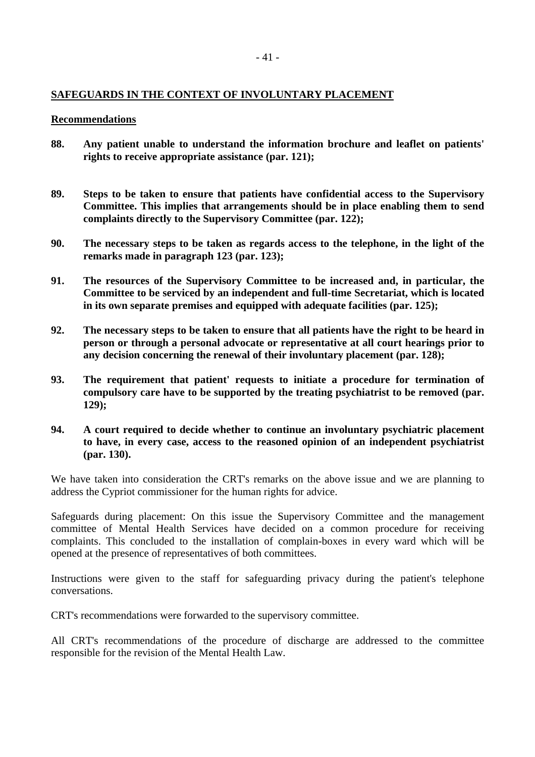## **SAFEGUARDS IN THE CONTEXT OF INVOLUNTARY PLACEMENT**

#### **Recommendations**

- **88. Any patient unable to understand the information brochure and leaflet on patients' rights to receive appropriate assistance (par. 121);**
- **89. Steps to be taken to ensure that patients have confidential access to the Supervisory Committee. This implies that arrangements should be in place enabling them to send complaints directly to the Supervisory Committee (par. 122);**
- **90. The necessary steps to be taken as regards access to the telephone, in the light of the remarks made in paragraph 123 (par. 123);**
- **91. The resources of the Supervisory Committee to be increased and, in particular, the Committee to be serviced by an independent and full-time Secretariat, which is located in its own separate premises and equipped with adequate facilities (par. 125);**
- **92. The necessary steps to be taken to ensure that all patients have the right to be heard in person or through a personal advocate or representative at all court hearings prior to any decision concerning the renewal of their involuntary placement (par. 128);**
- **93. The requirement that patient' requests to initiate a procedure for termination of compulsory care have to be supported by the treating psychiatrist to be removed (par. 129);**
- **94. A court required to decide whether to continue an involuntary psychiatric placement to have, in every case, access to the reasoned opinion of an independent psychiatrist (par. 130).**

We have taken into consideration the CRT's remarks on the above issue and we are planning to address the Cypriot commissioner for the human rights for advice.

Safeguards during placement: On this issue the Supervisory Committee and the management committee of Mental Health Services have decided on a common procedure for receiving complaints. This concluded to the installation of complain-boxes in every ward which will be opened at the presence of representatives of both committees.

Instructions were given to the staff for safeguarding privacy during the patient's telephone conversations.

CRT's recommendations were forwarded to the supervisory committee.

All CRT's recommendations of the procedure of discharge are addressed to the committee responsible for the revision of the Mental Health Law.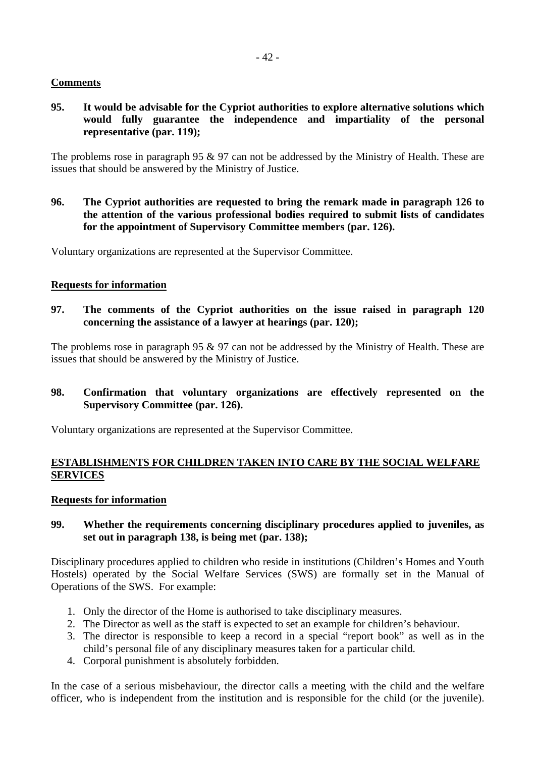## **Comments**

**95. It would be advisable for the Cypriot authorities to explore alternative solutions which would fully guarantee the independence and impartiality of the personal representative (par. 119);** 

The problems rose in paragraph 95 & 97 can not be addressed by the Ministry of Health. These are issues that should be answered by the Ministry of Justice.

**96. The Cypriot authorities are requested to bring the remark made in paragraph 126 to the attention of the various professional bodies required to submit lists of candidates for the appointment of Supervisory Committee members (par. 126).** 

Voluntary organizations are represented at the Supervisor Committee.

#### **Requests for information**

**97. The comments of the Cypriot authorities on the issue raised in paragraph 120 concerning the assistance of a lawyer at hearings (par. 120);** 

The problems rose in paragraph 95 & 97 can not be addressed by the Ministry of Health. These are issues that should be answered by the Ministry of Justice.

**98. Confirmation that voluntary organizations are effectively represented on the Supervisory Committee (par. 126).** 

Voluntary organizations are represented at the Supervisor Committee.

## **ESTABLISHMENTS FOR CHILDREN TAKEN INTO CARE BY THE SOCIAL WELFARE SERVICES**

#### **Requests for information**

#### **99. Whether the requirements concerning disciplinary procedures applied to juveniles, as set out in paragraph 138, is being met (par. 138);**

Disciplinary procedures applied to children who reside in institutions (Children's Homes and Youth Hostels) operated by the Social Welfare Services (SWS) are formally set in the Manual of Operations of the SWS. For example:

- 1. Only the director of the Home is authorised to take disciplinary measures.
- 2. The Director as well as the staff is expected to set an example for children's behaviour.
- 3. The director is responsible to keep a record in a special "report book" as well as in the child's personal file of any disciplinary measures taken for a particular child.
- 4. Corporal punishment is absolutely forbidden.

In the case of a serious misbehaviour, the director calls a meeting with the child and the welfare officer, who is independent from the institution and is responsible for the child (or the juvenile).